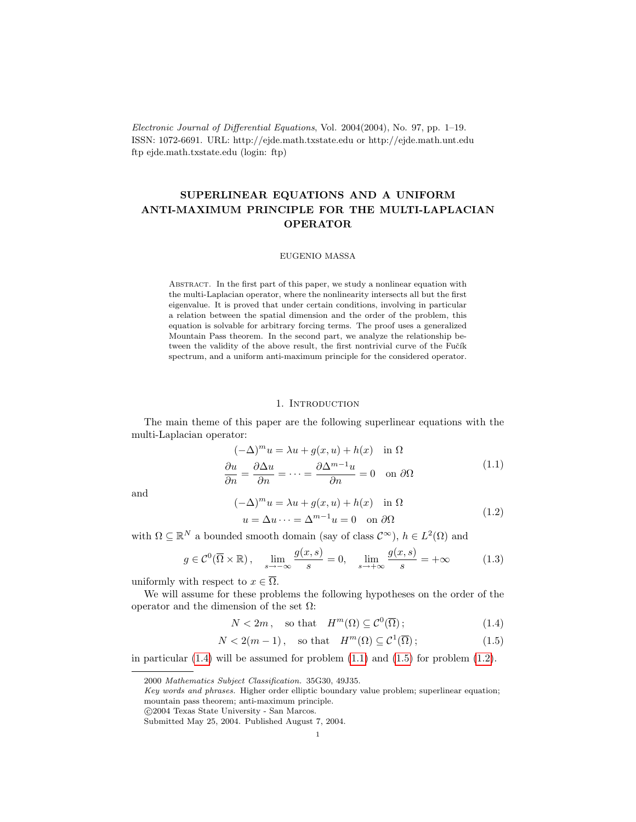Electronic Journal of Differential Equations, Vol. 2004(2004), No. 97, pp. 1–19. ISSN: 1072-6691. URL: http://ejde.math.txstate.edu or http://ejde.math.unt.edu ftp ejde.math.txstate.edu (login: ftp)

# SUPERLINEAR EQUATIONS AND A UNIFORM ANTI-MAXIMUM PRINCIPLE FOR THE MULTI-LAPLACIAN OPERATOR

## EUGENIO MASSA

Abstract. In the first part of this paper, we study a nonlinear equation with the multi-Laplacian operator, where the nonlinearity intersects all but the first eigenvalue. It is proved that under certain conditions, involving in particular a relation between the spatial dimension and the order of the problem, this equation is solvable for arbitrary forcing terms. The proof uses a generalized Mountain Pass theorem. In the second part, we analyze the relationship between the validity of the above result, the first nontrivial curve of the Fučík spectrum, and a uniform anti-maximum principle for the considered operator.

#### <span id="page-0-4"></span>1. INTRODUCTION

The main theme of this paper are the following superlinear equations with the multi-Laplacian operator:

<span id="page-0-1"></span>
$$
(-\Delta)^m u = \lambda u + g(x, u) + h(x) \quad \text{in } \Omega
$$
  

$$
\frac{\partial u}{\partial n} = \frac{\partial \Delta u}{\partial n} = \dots = \frac{\partial \Delta^{m-1} u}{\partial n} = 0 \quad \text{on } \partial \Omega
$$
 (1.1)

<span id="page-0-3"></span>and

$$
(-\Delta)^m u = \lambda u + g(x, u) + h(x) \quad \text{in } \Omega
$$
  
 
$$
u = \Delta u \cdots = \Delta^{m-1} u = 0 \quad \text{on } \partial\Omega
$$
 (1.2)

with  $\Omega \subseteq \mathbb{R}^N$  a bounded smooth domain (say of class  $\mathcal{C}^{\infty}$ ),  $h \in L^2(\Omega)$  and

$$
g \in \mathcal{C}^0(\overline{\Omega} \times \mathbb{R}), \quad \lim_{s \to -\infty} \frac{g(x, s)}{s} = 0, \quad \lim_{s \to +\infty} \frac{g(x, s)}{s} = +\infty \tag{1.3}
$$

uniformly with respect to  $x \in \overline{\Omega}$ .

We will assume for these problems the following hypotheses on the order of the operator and the dimension of the set  $Ω$ :

<span id="page-0-2"></span><span id="page-0-0"></span>
$$
N < 2m, \quad \text{so that} \quad H^m(\Omega) \subseteq \mathcal{C}^0(\overline{\Omega});\tag{1.4}
$$

$$
N < 2(m-1), \quad \text{so that} \quad H^m(\Omega) \subseteq \mathcal{C}^1(\overline{\Omega});\tag{1.5}
$$

in particular  $(1.4)$  will be assumed for problem  $(1.1)$  and  $(1.5)$  for problem  $(1.2)$ .

<sup>2000</sup> Mathematics Subject Classification. 35G30, 49J35.

Key words and phrases. Higher order elliptic boundary value problem; superlinear equation; mountain pass theorem; anti-maximum principle.

c 2004 Texas State University - San Marcos.

Submitted May 25, 2004. Published August 7, 2004.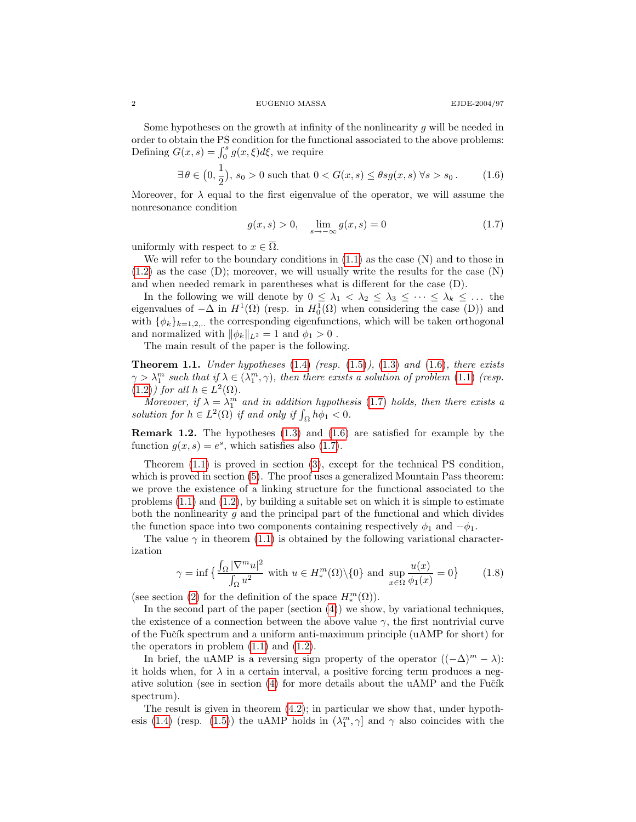Some hypotheses on the growth at infinity of the nonlinearity q will be needed in order to obtain the PS condition for the functional associated to the above problems: Defining  $G(x, s) = \int_0^s g(x, \xi) d\xi$ , we require

$$
\exists \,\theta \in \left(0, \frac{1}{2}\right), \, s_0 > 0 \text{ such that } 0 < G(x, s) \le \theta s g(x, s) \,\forall s > s_0. \tag{1.6}
$$

Moreover, for  $\lambda$  equal to the first eigenvalue of the operator, we will assume the nonresonance condition

<span id="page-1-1"></span><span id="page-1-0"></span>
$$
g(x,s) > 0, \quad \lim_{s \to -\infty} g(x,s) = 0 \tag{1.7}
$$

uniformly with respect to  $x \in \overline{\Omega}$ .

We will refer to the boundary conditions in  $(1.1)$  as the case  $(N)$  and to those in  $(1.2)$  as the case  $(D)$ ; moreover, we will usually write the results for the case  $(N)$ and when needed remark in parentheses what is different for the case (D).

In the following we will denote by  $0 \leq \lambda_1 < \lambda_2 \leq \lambda_3 \leq \cdots \leq \lambda_k \leq \ldots$  the eigenvalues of  $-\Delta$  in  $H^1(\Omega)$  (resp. in  $H_0^1(\Omega)$  when considering the case (D)) and with  $\{\phi_k\}_{k=1,2,\ldots}$  the corresponding eigenfunctions, which will be taken orthogonal and normalized with  $\|\phi_k\|_{L^2} = 1$  and  $\phi_1 > 0$ .

The main result of the paper is the following.

<span id="page-1-2"></span>**Theorem 1.1.** Under hypotheses  $(1.4)$  (resp.  $(1.5)$ ),  $(1.3)$  and  $(1.6)$ , there exists  $\gamma > \lambda_1^m$  such that if  $\lambda \in (\lambda_1^m, \gamma)$ , then there exists a solution of problem [\(1.1\)](#page-0-1) (resp.  $(1.2)$  for all  $h \in L^2(\Omega)$ .

Moreover, if  $\lambda = \lambda_1^m$  and in addition hypothesis [\(1.7\)](#page-1-1) holds, then there exists a solution for  $h \in L^2(\Omega)$  if and only if  $\int_{\Omega} h \phi_1 < 0$ .

**Remark 1.2.** The hypotheses  $(1.3)$  and  $(1.6)$  are satisfied for example by the function  $g(x, s) = e^s$ , which satisfies also [\(1.7\)](#page-1-1).

Theorem [\(1.1\)](#page-1-2) is proved in section [\(3\)](#page-3-0), except for the technical PS condition, which is proved in section [\(5\)](#page-14-0). The proof uses a generalized Mountain Pass theorem: we prove the existence of a linking structure for the functional associated to the problems  $(1.1)$  and  $(1.2)$ , by building a suitable set on which it is simple to estimate both the nonlinearity  $g$  and the principal part of the functional and which divides the function space into two components containing respectively  $\phi_1$  and  $-\phi_1$ .

The value  $\gamma$  in theorem [\(1.1\)](#page-1-2) is obtained by the following variational characterization

<span id="page-1-3"></span>
$$
\gamma = \inf \left\{ \frac{\int_{\Omega} |\nabla^m u|^2}{\int_{\Omega} u^2} \text{ with } u \in H_*^m(\Omega) \setminus \{0\} \text{ and } \sup_{x \in \Omega} \frac{u(x)}{\phi_1(x)} = 0 \right\} \tag{1.8}
$$

(see section [\(2\)](#page-2-0) for the definition of the space  $H_*^m(\Omega)$ ).

In the second part of the paper (section [\(4\)](#page-9-0)) we show, by variational techniques, the existence of a connection between the above value  $\gamma$ , the first nontrivial curve of the Fučík spectrum and a uniform anti-maximum principle (uAMP for short) for the operators in problem  $(1.1)$  and  $(1.2)$ .

In brief, the uAMP is a reversing sign property of the operator  $((-\Delta)^m - \lambda)$ : it holds when, for  $\lambda$  in a certain interval, a positive forcing term produces a negative solution (see in section  $(4)$  for more details about the uAMP and the Fučík spectrum).

The result is given in theorem  $(4.2)$ ; in particular we show that, under hypoth-esis [\(1.4\)](#page-0-0) (resp. [\(1.5\)](#page-0-2)) the uAMP holds in  $(\lambda_1^m, \gamma]$  and  $\gamma$  also coincides with the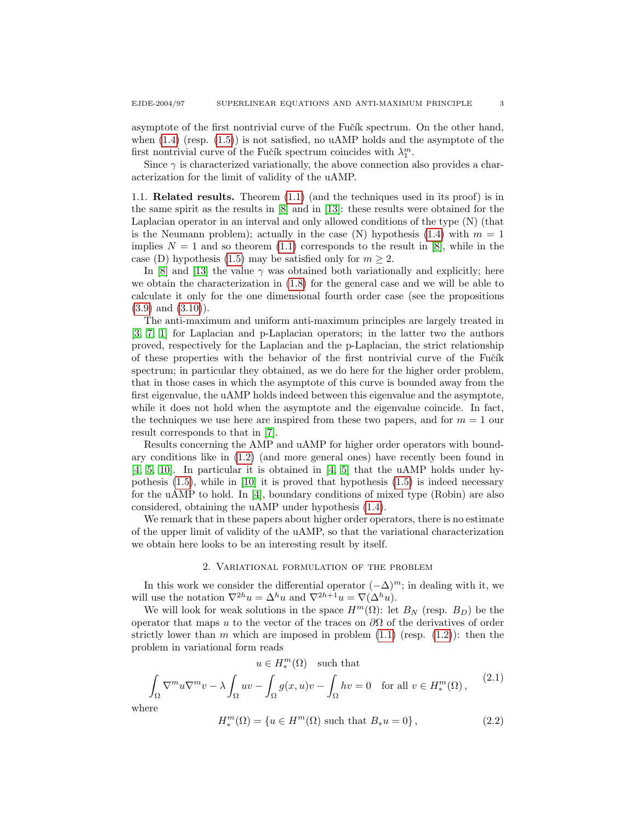asymptote of the first nontrivial curve of the Fučík spectrum. On the other hand, when  $(1.4)$  (resp.  $(1.5)$ ) is not satisfied, no uAMP holds and the asymptote of the first nontrivial curve of the Fučík spectrum coincides with  $\lambda_1^m$ .

Since  $\gamma$  is characterized variationally, the above connection also provides a characterization for the limit of validity of the uAMP.

1.1. Related results. Theorem [\(1.1\)](#page-1-2) (and the techniques used in its proof) is in the same spirit as the results in [\[8\]](#page-18-0) and in [\[13\]](#page-18-1): these results were obtained for the Laplacian operator in an interval and only allowed conditions of the type (N) (that is the Neumann problem); actually in the case (N) hypothesis [\(1.4\)](#page-0-0) with  $m = 1$ implies  $N = 1$  and so theorem [\(1.1\)](#page-1-2) corresponds to the result in [\[8\]](#page-18-0), while in the case (D) hypothesis [\(1.5\)](#page-0-2) may be satisfied only for  $m \geq 2$ .

In [\[8\]](#page-18-0) and [\[13\]](#page-18-1) the value  $\gamma$  was obtained both variationally and explicitly; here we obtain the characterization in [\(1.8\)](#page-1-3) for the general case and we will be able to calculate it only for the one dimensional fourth order case (see the propositions  $(3.9)$  and  $(3.10)$ ).

The anti-maximum and uniform anti-maximum principles are largely treated in [\[3,](#page-18-2) [7,](#page-18-3) [1\]](#page-18-4) for Laplacian and p-Laplacian operators; in the latter two the authors proved, respectively for the Laplacian and the p-Laplacian, the strict relationship of these properties with the behavior of the first nontrivial curve of the Fučík spectrum; in particular they obtained, as we do here for the higher order problem, that in those cases in which the asymptote of this curve is bounded away from the first eigenvalue, the uAMP holds indeed between this eigenvalue and the asymptote, while it does not hold when the asymptote and the eigenvalue coincide. In fact, the techniques we use here are inspired from these two papers, and for  $m = 1$  our result corresponds to that in [\[7\]](#page-18-3).

Results concerning the AMP and uAMP for higher order operators with boundary conditions like in [\(1.2\)](#page-0-3) (and more general ones) have recently been found in [\[4,](#page-18-5) [5,](#page-18-6) [10\]](#page-18-7). In particular it is obtained in [\[4,](#page-18-5) [5\]](#page-18-6) that the uAMP holds under hypothesis  $(1.5)$ , while in  $[10]$  it is proved that hypothesis  $(1.5)$  is indeed necessary for the uAMP to hold. In [\[4\]](#page-18-5), boundary conditions of mixed type (Robin) are also considered, obtaining the uAMP under hypothesis [\(1.4\)](#page-0-0).

We remark that in these papers about higher order operators, there is no estimate of the upper limit of validity of the uAMP, so that the variational characterization we obtain here looks to be an interesting result by itself.

#### 2. Variational formulation of the problem

<span id="page-2-0"></span>In this work we consider the differential operator  $(-\Delta)^m$ ; in dealing with it, we will use the notation  $\nabla^{2h}u = \Delta^h u$  and  $\nabla^{2h+1}u = \nabla(\Delta^h u)$ .

We will look for weak solutions in the space  $H^m(\Omega)$ : let  $B_N$  (resp.  $B_D$ ) be the operator that maps u to the vector of the traces on  $\partial\Omega$  of the derivatives of order strictly lower than m which are imposed in problem  $(1.1)$  (resp.  $(1.2)$ ): then the problem in variational form reads

$$
u\in H^m_*(\Omega)\quad\text{such that}\quad
$$

$$
\int_{\Omega} \nabla^m u \nabla^m v - \lambda \int_{\Omega} uv - \int_{\Omega} g(x, u)v - \int_{\Omega} hv = 0 \quad \text{for all } v \in H_*^m(\Omega), \tag{2.1}
$$

where

$$
H_*^m(\Omega) = \{ u \in H^m(\Omega) \text{ such that } B_*u = 0 \},
$$
\n(2.2)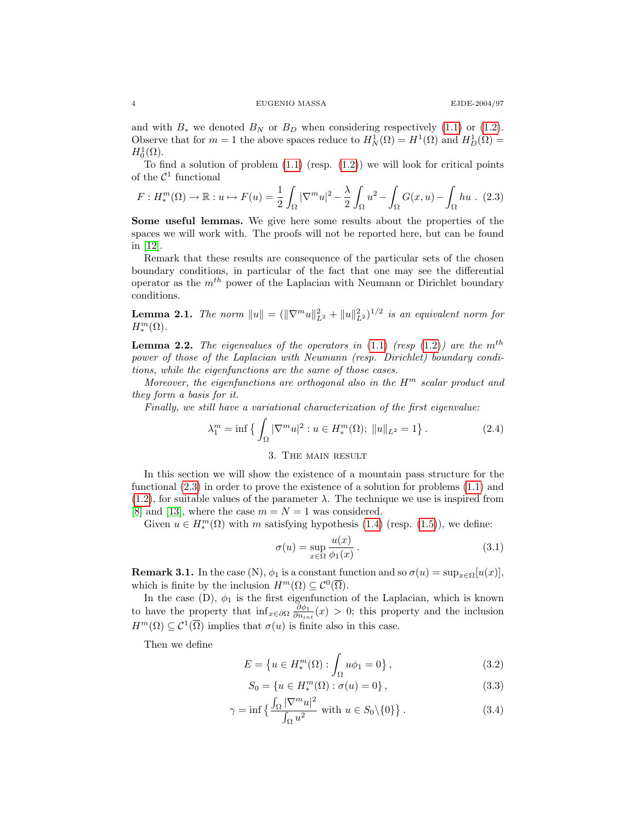and with  $B_*$  we denoted  $B_N$  or  $B_D$  when considering respectively [\(1.1\)](#page-0-1) or [\(1.2\)](#page-0-3). Observe that for  $m = 1$  the above spaces reduce to  $H_N^1(\Omega) = H^1(\Omega)$  and  $H_D^1(\Omega) =$  $H_0^1(\Omega)$ .

To find a solution of problem  $(1.1)$  (resp.  $(1.2)$ ) we will look for critical points of the  $\mathcal{C}^1$  functional

<span id="page-3-1"></span>
$$
F: H_*^m(\Omega) \to \mathbb{R}: u \mapsto F(u) = \frac{1}{2} \int_{\Omega} |\nabla^m u|^2 - \frac{\lambda}{2} \int_{\Omega} u^2 - \int_{\Omega} G(x, u) - \int_{\Omega} hu \quad (2.3)
$$

Some useful lemmas. We give here some results about the properties of the spaces we will work with. The proofs will not be reported here, but can be found in [\[12\]](#page-18-8).

Remark that these results are consequence of the particular sets of the chosen boundary conditions, in particular of the fact that one may see the differential operator as the  $m^{th}$  power of the Laplacian with Neumann or Dirichlet boundary conditions.

**Lemma 2.1.** The norm  $||u|| = (||\nabla^m u||^2_{L^2} + ||u||^2_{L^2})^{1/2}$  is an equivalent norm for  $H_*^m(\Omega)$ .

**Lemma 2.2.** The eigenvalues of the operators in  $(1.1)$  (resp  $(1.2)$ ) are the m<sup>th</sup> power of those of the Laplacian with Neumann (resp. Dirichlet) boundary conditions, while the eigenfunctions are the same of those cases.

Moreover, the eigenfunctions are orthogonal also in the  $H^m$  scalar product and they form a basis for it.

Finally, we still have a variational characterization of the first eigenvalue:

$$
\lambda_1^m = \inf \left\{ \int_{\Omega} |\nabla^m u|^2 : u \in H_*^m(\Omega); \ \|u\|_{L^2} = 1 \right\}.
$$
 (2.4)

# <span id="page-3-3"></span>3. The main result

<span id="page-3-0"></span>In this section we will show the existence of a mountain pass structure for the functional [\(2.3\)](#page-3-1) in order to prove the existence of a solution for problems [\(1.1\)](#page-0-1) and  $(1.2)$ , for suitable values of the parameter  $\lambda$ . The technique we use is inspired from [\[8\]](#page-18-0) and [\[13\]](#page-18-1), where the case  $m = N = 1$  was considered.

Given  $u \in H_*^m(\Omega)$  with m satisfying hypothesis [\(1.4\)](#page-0-0) (resp. [\(1.5\)](#page-0-2)), we define:

$$
\sigma(u) = \sup_{x \in \Omega} \frac{u(x)}{\phi_1(x)}.
$$
\n(3.1)

**Remark 3.1.** In the case (N),  $\phi_1$  is a constant function and so  $\sigma(u) = \sup_{x \in \Omega} [u(x)],$ which is finite by the inclusion  $H^m(\Omega) \subseteq C^0(\overline{\Omega})$ .

In the case  $(D)$ ,  $\phi_1$  is the first eigenfunction of the Laplacian, which is known to have the property that  $\inf_{x \in \partial \Omega} \frac{\partial \phi_1}{\partial n_{int}}(x) > 0$ ; this property and the inclusion  $H^m(\Omega) \subseteq \mathcal{C}^1(\overline{\Omega})$  implies that  $\sigma(u)$  is finite also in this case.

Then we define

$$
E = \{ u \in H_*^m(\Omega) : \int_{\Omega} u \phi_1 = 0 \},
$$
\n(3.2)

<span id="page-3-4"></span><span id="page-3-2"></span>
$$
S_0 = \{ u \in H_*^m(\Omega) : \sigma(u) = 0 \},\tag{3.3}
$$

$$
\gamma = \inf \left\{ \frac{\int_{\Omega} |\nabla^m u|^2}{\int_{\Omega} u^2} \text{ with } u \in S_0 \backslash \{0\} \right\}. \tag{3.4}
$$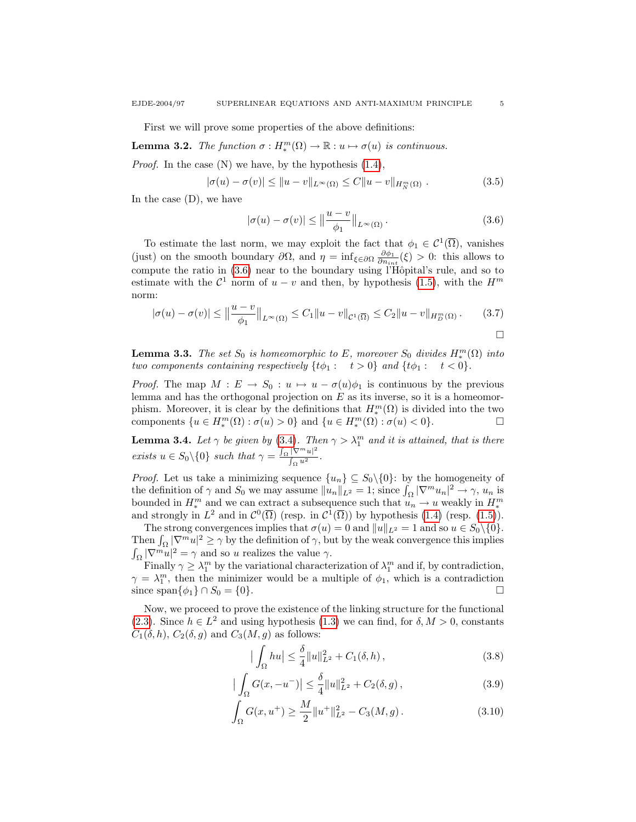First we will prove some properties of the above definitions:

**Lemma 3.2.** The function  $\sigma: H_*^m(\Omega) \to \mathbb{R}: u \mapsto \sigma(u)$  is continuous.

*Proof.* In the case  $(N)$  we have, by the hypothesis  $(1.4)$ ,

$$
|\sigma(u) - \sigma(v)| \le ||u - v||_{L^{\infty}(\Omega)} \le C||u - v||_{H_N^m(\Omega)}.
$$
\n(3.5)

In the case  $(D)$ , we have

<span id="page-4-0"></span>
$$
|\sigma(u) - \sigma(v)| \le ||\frac{u - v}{\phi_1}||_{L^{\infty}(\Omega)}.
$$
\n(3.6)

To estimate the last norm, we may exploit the fact that  $\phi_1 \in C^1(\overline{\Omega})$ , vanishes (just) on the smooth boundary  $\partial\Omega$ , and  $\eta = \inf_{\xi \in \partial\Omega} \frac{\partial \phi_1}{\partial n_{int}}(\xi) > 0$ : this allows to compute the ratio in  $(3.6)$  near to the boundary using l'Hôpital's rule, and so to estimate with the  $\mathcal{C}^1$  norm of  $u - v$  and then, by hypothesis [\(1.5\)](#page-0-2), with the  $H^m$ norm:

$$
|\sigma(u) - \sigma(v)| \le ||\frac{u - v}{\phi_1}||_{L^{\infty}(\Omega)} \le C_1 ||u - v||_{\mathcal{C}^1(\overline{\Omega})} \le C_2 ||u - v||_{H^m_D(\Omega)}.
$$
 (3.7)

**Lemma 3.3.** The set  $S_0$  is homeomorphic to E, moreover  $S_0$  divides  $H_*^m(\Omega)$  into two components containing respectively  $\{t\phi_1: t > 0\}$  and  $\{t\phi_1: t < 0\}$ .

*Proof.* The map  $M : E \to S_0 : u \mapsto u - \sigma(u)\phi_1$  is continuous by the previous lemma and has the orthogonal projection on  $E$  as its inverse, so it is a homeomorphism. Moreover, it is clear by the definitions that  $H_*^m(\Omega)$  is divided into the two components  $\{u \in H_*^m(\Omega) : \sigma(u) > 0\}$  and  $\{u \in H_*^m(\Omega) : \sigma(u) < 0\}.$ 

<span id="page-4-1"></span>**Lemma 3.4.** Let  $\gamma$  be given by [\(3.4\)](#page-3-2). Then  $\gamma > \lambda_1^m$  and it is attained, that is there exists  $u \in S_0 \setminus \{0\}$  such that  $\gamma = \frac{\int_{\Omega} |\nabla^m u|^2}{\int_{\Omega} u^2}$  $\frac{|v-u|}{\int_{\Omega}u^2}$ .

*Proof.* Let us take a minimizing sequence  $\{u_n\} \subseteq S_0 \setminus \{0\}$ : by the homogeneity of the definition of  $\gamma$  and  $S_0$  we may assume  $||u_n||_{L^2} = 1$ ; since  $\int_{\Omega} |\nabla^m u_n|^2 \to \gamma$ ,  $u_n$  is bounded in  $H_*^m$  and we can extract a subsequence such that  $u_n \to u$  weakly in  $H_*^m$ and strongly in  $L^2$  and in  $\mathcal{C}^0(\overline{\Omega})$  (resp. in  $\mathcal{C}^1(\overline{\Omega})$ ) by hypothesis [\(1.4\)](#page-0-0) (resp. [\(1.5\)](#page-0-2)).

The strong convergences implies that  $\sigma(u) = 0$  and  $||u||_{L^2} = 1$  and so  $u \in S_0 \setminus \{0\}.$ Then  $\int_{\Omega} |\nabla^m u|^2 \ge \gamma$  by the definition of  $\gamma$ , but by the weak convergence this implies  $\int_{\Omega} |\nabla^m u|^2 = \gamma$  and so u realizes the value  $\gamma$ .

Finally  $\gamma \geq \lambda_1^m$  by the variational characterization of  $\lambda_1^m$  and if, by contradiction,  $\gamma = \lambda_1^m$ , then the minimizer would be a multiple of  $\phi_1$ , which is a contradiction since span $\{\phi_1\} \cap S_0 = \{0\}.$ 

Now, we proceed to prove the existence of the linking structure for the functional [\(2.3\)](#page-3-1). Since  $h \in L^2$  and using hypothesis [\(1.3\)](#page-0-4) we can find, for  $\delta, M > 0$ , constants  $C_1(\delta, h)$ ,  $C_2(\delta, g)$  and  $C_3(M, g)$  as follows:

$$
\left| \int_{\Omega} hu \right| \leq \frac{\delta}{4} \|u\|_{L^2}^2 + C_1(\delta, h), \tag{3.8}
$$

$$
\left| \int_{\Omega} G(x, -u^{-}) \right| \leq \frac{\delta}{4} \|u\|_{L^{2}}^{2} + C_{2}(\delta, g), \tag{3.9}
$$

$$
\int_{\Omega} G(x, u^{+}) \ge \frac{M}{2} \|u^{+}\|_{L^{2}}^{2} - C_{3}(M, g). \tag{3.10}
$$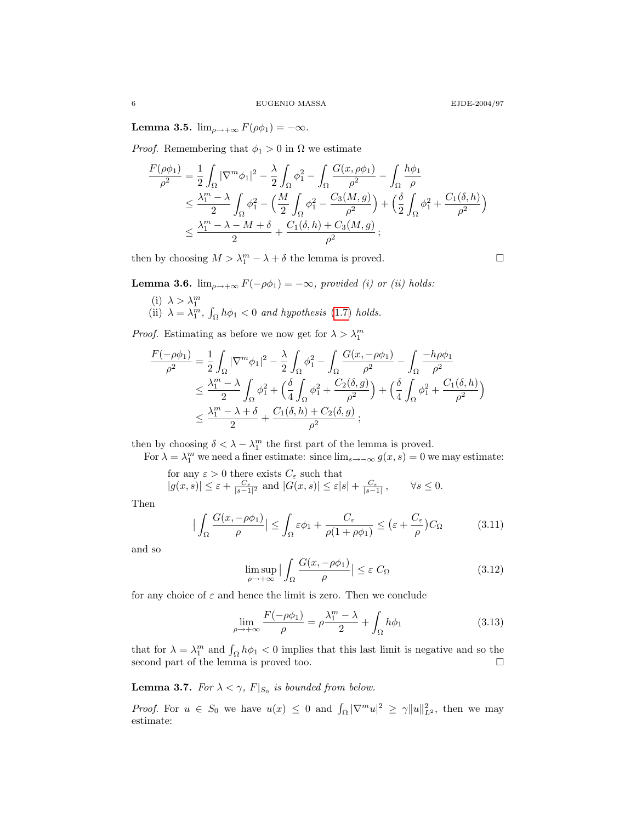Lemma 3.5.  $\lim_{\rho \to +\infty} F(\rho \phi_1) = -\infty$ .

*Proof.* Remembering that  $\phi_1 > 0$  in  $\Omega$  we estimate

$$
\frac{F(\rho\phi_1)}{\rho^2} = \frac{1}{2} \int_{\Omega} |\nabla^m \phi_1|^2 - \frac{\lambda}{2} \int_{\Omega} \phi_1^2 - \int_{\Omega} \frac{G(x, \rho\phi_1)}{\rho^2} - \int_{\Omega} \frac{h\phi_1}{\rho}
$$
\n
$$
\leq \frac{\lambda_1^m - \lambda}{2} \int_{\Omega} \phi_1^2 - \left(\frac{M}{2} \int_{\Omega} \phi_1^2 - \frac{C_3(M, g)}{\rho^2}\right) + \left(\frac{\delta}{2} \int_{\Omega} \phi_1^2 + \frac{C_1(\delta, h)}{\rho^2}\right)
$$
\n
$$
\leq \frac{\lambda_1^m - \lambda - M + \delta}{2} + \frac{C_1(\delta, h) + C_3(M, g)}{\rho^2};
$$

then by choosing  $M > \lambda_1^m - \lambda + \delta$  the lemma is proved.

**Lemma 3.6.**  $\lim_{\rho \to +\infty} F(-\rho \phi_1) = -\infty$ , provided (i) or (ii) holds:

(i)  $\lambda > \lambda_1^m$ <br>(ii)  $\lambda = \lambda_1^m$ ,  $\int_{\Omega} h\phi_1 < 0$  and hypothesis [\(1.7\)](#page-1-1) holds.

*Proof.* Estimating as before we now get for  $\lambda > \lambda_1^m$ 

$$
\frac{F(-\rho\phi_1)}{\rho^2} = \frac{1}{2} \int_{\Omega} |\nabla^m \phi_1|^2 - \frac{\lambda}{2} \int_{\Omega} \phi_1^2 - \int_{\Omega} \frac{G(x, -\rho\phi_1)}{\rho^2} - \int_{\Omega} \frac{-h\rho\phi_1}{\rho^2}
$$
  

$$
\leq \frac{\lambda_1^m - \lambda}{2} \int_{\Omega} \phi_1^2 + \left(\frac{\delta}{4} \int_{\Omega} \phi_1^2 + \frac{C_2(\delta, g)}{\rho^2}\right) + \left(\frac{\delta}{4} \int_{\Omega} \phi_1^2 + \frac{C_1(\delta, h)}{\rho^2}\right)
$$
  

$$
\leq \frac{\lambda_1^m - \lambda + \delta}{2} + \frac{C_1(\delta, h) + C_2(\delta, g)}{\rho^2};
$$

then by choosing  $\delta < \lambda - \lambda_1^m$  the first part of the lemma is proved.

For  $\lambda = \lambda_1^m$  we need a finer estimate: since  $\lim_{s \to -\infty} g(x, s) = 0$  we may estimate:

for any 
$$
\varepsilon > 0
$$
 there exists  $C_{\varepsilon}$  such that  
\n $|g(x, s)| \leq \varepsilon + \frac{C_{\varepsilon}}{|s-1|^2}$  and  $|G(x, s)| \leq \varepsilon |s| + \frac{C_{\varepsilon}}{|s-1|}$ ,  $\forall s \leq 0$ .

Then

$$
\left| \int_{\Omega} \frac{G(x, -\rho \phi_1)}{\rho} \right| \le \int_{\Omega} \varepsilon \phi_1 + \frac{C_{\varepsilon}}{\rho (1 + \rho \phi_1)} \le (\varepsilon + \frac{C_{\varepsilon}}{\rho}) C_{\Omega} \tag{3.11}
$$

and so

$$
\limsup_{\rho \to +\infty} \left| \int_{\Omega} \frac{G(x, -\rho \phi_1)}{\rho} \right| \le \varepsilon C_{\Omega} \tag{3.12}
$$

for any choice of  $\varepsilon$  and hence the limit is zero. Then we conclude

$$
\lim_{\rho \to +\infty} \frac{F(-\rho \phi_1)}{\rho} = \rho \frac{\lambda_1^m - \lambda}{2} + \int_{\Omega} h \phi_1 \tag{3.13}
$$

that for  $\lambda = \lambda_1^m$  and  $\int_{\Omega} h \phi_1 < 0$  implies that this last limit is negative and so the second part of the lemma is proved too.  $\hfill \square$ 

<span id="page-5-0"></span>**Lemma 3.7.** For  $\lambda < \gamma$ ,  $F|_{S_0}$  is bounded from below.

*Proof.* For  $u \in S_0$  we have  $u(x) \leq 0$  and  $\int_{\Omega} |\nabla^m u|^2 \geq \gamma ||u||_{L^2}^2$ , then we may estimate: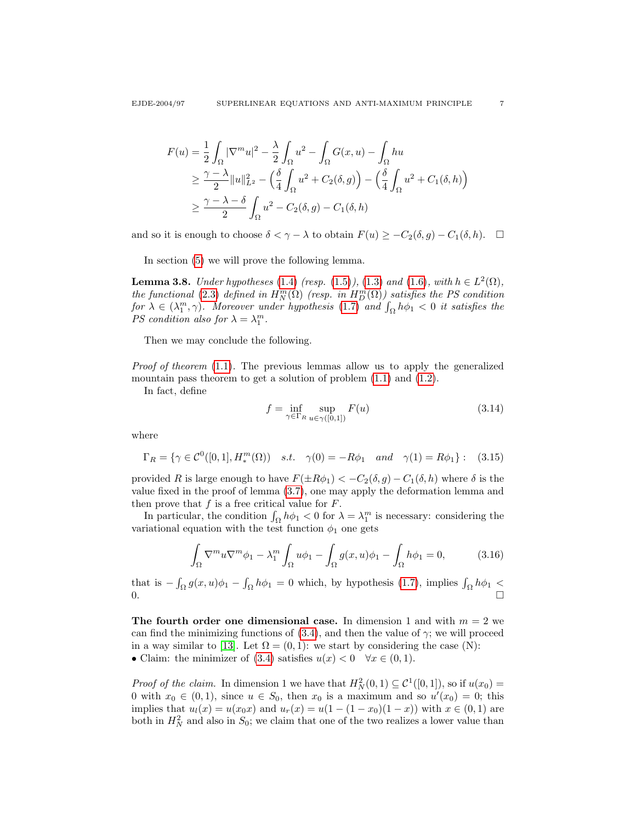$$
F(u) = \frac{1}{2} \int_{\Omega} |\nabla^m u|^2 - \frac{\lambda}{2} \int_{\Omega} u^2 - \int_{\Omega} G(x, u) - \int_{\Omega} hu
$$
  
\n
$$
\geq \frac{\gamma - \lambda}{2} ||u||_{L^2}^2 - \left(\frac{\delta}{4} \int_{\Omega} u^2 + C_2(\delta, g)\right) - \left(\frac{\delta}{4} \int_{\Omega} u^2 + C_1(\delta, h)\right)
$$
  
\n
$$
\geq \frac{\gamma - \lambda - \delta}{2} \int_{\Omega} u^2 - C_2(\delta, g) - C_1(\delta, h)
$$

and so it is enough to choose  $\delta < \gamma - \lambda$  to obtain  $F(u) \geq -C_2(\delta, g) - C_1(\delta, h)$ .  $\Box$ 

In section [\(5\)](#page-14-0) we will prove the following lemma.

<span id="page-6-0"></span>**Lemma 3.8.** Under hypotheses [\(1.4\)](#page-0-0) (resp. [\(1.5\)](#page-0-2)), [\(1.3\)](#page-0-4) and [\(1.6\)](#page-1-0), with  $h \in L^2(\Omega)$ , the functional [\(2.3\)](#page-3-1) defined in  $H_N^m(\Omega)$  (resp. in  $H_D^m(\Omega)$ ) satisfies the PS condition for  $\lambda \in (\lambda_1^m, \gamma)$ . Moreover under hypothesis [\(1.7\)](#page-1-1) and  $\int_{\Omega} h\phi_1 < 0$  it satisfies the PS condition also for  $\lambda = \lambda_1^m$ .

Then we may conclude the following.

Proof of theorem [\(1.1\)](#page-1-2). The previous lemmas allow us to apply the generalized mountain pass theorem to get a solution of problem  $(1.1)$  and  $(1.2)$ .

In fact, define

$$
f = \inf_{\gamma \in \Gamma_R} \sup_{u \in \gamma([0,1])} F(u)
$$
(3.14)

where

$$
\Gamma_R = \{ \gamma \in C^0([0, 1], H_*^m(\Omega)) \quad s.t. \quad \gamma(0) = -R\phi_1 \quad and \quad \gamma(1) = R\phi_1 \} : \quad (3.15)
$$

provided R is large enough to have  $F(\pm R\phi_1) < -C_2(\delta, g) - C_1(\delta, h)$  where  $\delta$  is the value fixed in the proof of lemma [\(3.7\)](#page-5-0), one may apply the deformation lemma and then prove that  $f$  is a free critical value for  $F$ .

In particular, the condition  $\int_{\Omega} h \phi_1 < 0$  for  $\lambda = \lambda_1^m$  is necessary: considering the variational equation with the test function  $\phi_1$  one gets

$$
\int_{\Omega} \nabla^m u \nabla^m \phi_1 - \lambda_1^m \int_{\Omega} u \phi_1 - \int_{\Omega} g(x, u) \phi_1 - \int_{\Omega} h \phi_1 = 0, \tag{3.16}
$$

that is  $-\int_{\Omega} g(x, u)\phi_1 - \int_{\Omega} h\phi_1 = 0$  which, by hypothesis [\(1.7\)](#page-1-1), implies  $\int_{\Omega} h\phi_1 <$  $0.$ 

The fourth order one dimensional case. In dimension 1 and with  $m = 2$  we can find the minimizing functions of  $(3.4)$ , and then the value of  $\gamma$ ; we will proceed in a way similar to [\[13\]](#page-18-1). Let  $\Omega = (0, 1)$ : we start by considering the case (N): • Claim: the minimizer of [\(3.4\)](#page-3-2) satisfies  $u(x) < 0 \quad \forall x \in (0,1)$ .

*Proof of the claim.* In dimension 1 we have that  $H_N^2(0,1) \subseteq C^1([0,1])$ , so if  $u(x_0) =$ 0 with  $x_0 \in (0,1)$ , since  $u \in S_0$ , then  $x_0$  is a maximum and so  $u'(x_0) = 0$ ; this implies that  $u_l(x) = u(x_0x)$  and  $u_r(x) = u(1 - (1 - x_0)(1 - x))$  with  $x \in (0, 1)$  are both in  $H_N^2$  and also in  $S_0$ ; we claim that one of the two realizes a lower value than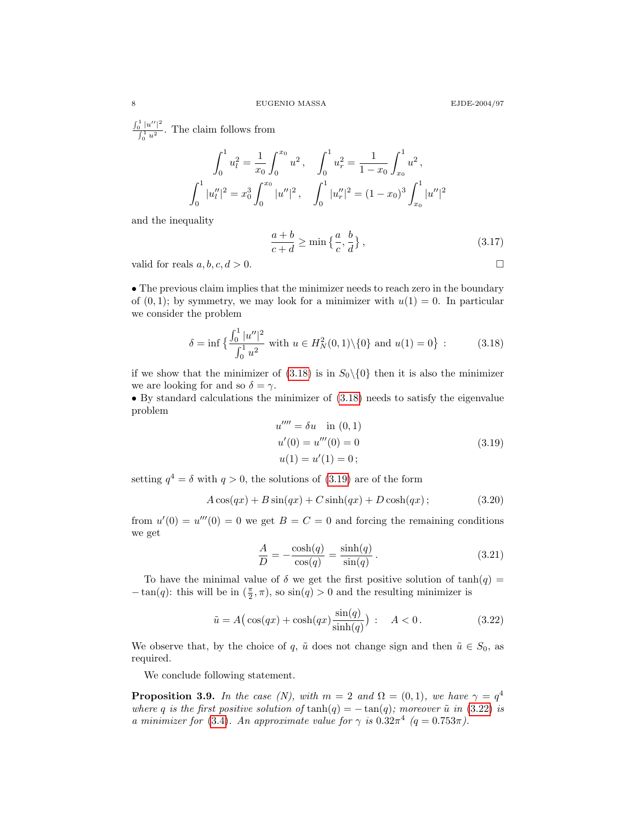$\int_0^1 |u''|^2$  $\int_0^{\frac{1}{u}} u^2$ . The claim follows from

$$
\int_0^1 u_l^2 = \frac{1}{x_0} \int_0^{x_0} u^2, \quad \int_0^1 u_r^2 = \frac{1}{1 - x_0} \int_{x_0}^1 u^2,
$$
  

$$
\int_0^1 |u_l''|^2 = x_0^3 \int_0^{x_0} |u''|^2, \quad \int_0^1 |u_r''|^2 = (1 - x_0)^3 \int_{x_0}^1 |u''|^2
$$

and the inequality

$$
\frac{a+b}{c+d} \ge \min\left\{\frac{a}{c}, \frac{b}{d}\right\},\tag{3.17}
$$

valid for reals  $a, b, c, d > 0$ .

• The previous claim implies that the minimizer needs to reach zero in the boundary of  $(0, 1)$ ; by symmetry, we may look for a minimizer with  $u(1) = 0$ . In particular we consider the problem

<span id="page-7-1"></span>
$$
\delta = \inf \left\{ \frac{\int_0^1 |u''|^2}{\int_0^1 u^2} \text{ with } u \in H_N^2(0,1) \setminus \{0\} \text{ and } u(1) = 0 \right\} \tag{3.18}
$$

if we show that the minimizer of  $(3.18)$  is in  $S_0\setminus\{0\}$  then it is also the minimizer we are looking for and so  $\delta = \gamma$ .

<span id="page-7-2"></span>• By standard calculations the minimizer of [\(3.18\)](#page-7-1) needs to satisfy the eigenvalue problem

<span id="page-7-4"></span>
$$
u'''' = \delta u \quad \text{in } (0, 1)
$$
  
\n
$$
u'(0) = u'''(0) = 0
$$
  
\n
$$
u(1) = u'(1) = 0;
$$
\n(3.19)

setting  $q^4 = \delta$  with  $q > 0$ , the solutions of [\(3.19\)](#page-7-2) are of the form

$$
A\cos(qx) + B\sin(qx) + C\sinh(qx) + D\cosh(qx); \qquad (3.20)
$$

from  $u'(0) = u'''(0) = 0$  we get  $B = C = 0$  and forcing the remaining conditions we get

<span id="page-7-3"></span>
$$
\frac{A}{D} = -\frac{\cosh(q)}{\cos(q)} = \frac{\sinh(q)}{\sin(q)}.
$$
\n(3.21)

To have the minimal value of  $\delta$  we get the first positive solution of  $tanh(q)$  =  $-\tan(q)$ : this will be in  $(\frac{\pi}{2}, \pi)$ , so  $\sin(q) > 0$  and the resulting minimizer is

$$
\tilde{u} = A\left(\cos(qx) + \cosh(qx)\frac{\sin(q)}{\sinh(q)}\right) : A < 0. \tag{3.22}
$$

We observe that, by the choice of q,  $\tilde{u}$  does not change sign and then  $\tilde{u} \in S_0$ , as required.

We conclude following statement.

<span id="page-7-0"></span>**Proposition 3.9.** In the case (N), with  $m = 2$  and  $\Omega = (0, 1)$ , we have  $\gamma = q^4$ where q is the first positive solution of  $\tanh(q) = -\tan(q)$ ; moreover  $\tilde{u}$  in [\(3.22\)](#page-7-3) is a minimizer for [\(3.4\)](#page-3-2). An approximate value for  $\gamma$  is  $0.32\pi^4$  ( $q = 0.753\pi$ ).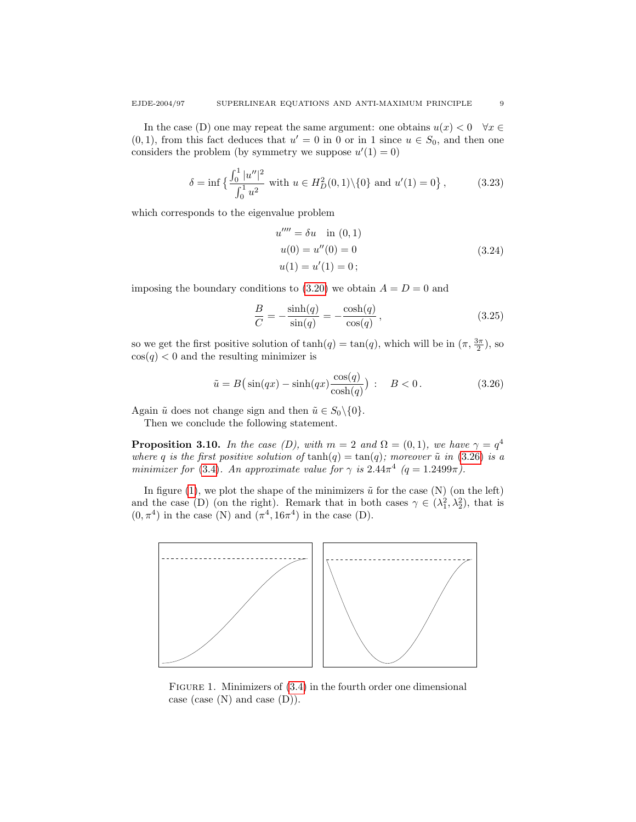In the case (D) one may repeat the same argument: one obtains  $u(x) < 0 \quad \forall x \in$  $(0, 1)$ , from this fact deduces that  $u' = 0$  in 0 or in 1 since  $u \in S_0$ , and then one considers the problem (by symmetry we suppose  $u'(1) = 0$ )

$$
\delta = \inf \left\{ \frac{\int_0^1 |u''|^2}{\int_0^1 u^2} \text{ with } u \in H_D^2(0,1) \setminus \{0\} \text{ and } u'(1) = 0 \right\},\tag{3.23}
$$

which corresponds to the eigenvalue problem

$$
u'''' = \delta u \quad \text{in } (0, 1)
$$
  
\n
$$
u(0) = u''(0) = 0
$$
  
\n
$$
u(1) = u'(1) = 0;
$$
\n(3.24)

imposing the boundary conditions to  $(3.20)$  we obtain  $A = D = 0$  and

<span id="page-8-1"></span>
$$
\frac{B}{C} = -\frac{\sinh(q)}{\sin(q)} = -\frac{\cosh(q)}{\cos(q)},\qquad(3.25)
$$

so we get the first positive solution of  $tanh(q) = tan(q)$ , which will be in  $(\pi, \frac{3\pi}{2})$ , so  $cos(q) < 0$  and the resulting minimizer is

$$
\tilde{u} = B\left(\sin(qx) - \sinh(qx)\frac{\cos(q)}{\cosh(q)}\right) : B < 0. \tag{3.26}
$$

Again  $\tilde{u}$  does not change sign and then  $\tilde{u} \in S_0 \setminus \{0\}.$ 

Then we conclude the following statement.

<span id="page-8-0"></span>**Proposition 3.10.** In the case (D), with  $m = 2$  and  $\Omega = (0, 1)$ , we have  $\gamma = q^4$ where q is the first positive solution of  $\tanh(q) = \tan(q)$ ; moreover  $\tilde{u}$  in [\(3.26\)](#page-8-1) is a minimizer for [\(3.4\)](#page-3-2). An approximate value for  $\gamma$  is  $2.44\pi^4$  (q = 1.2499 $\pi$ ).

In figure [\(1\)](#page-8-2), we plot the shape of the minimizers  $\tilde{u}$  for the case (N) (on the left) and the case (D) (on the right). Remark that in both cases  $\gamma \in (\lambda_1^2, \lambda_2^2)$ , that is  $(0, \pi^4)$  in the case (N) and  $(\pi^4, 16\pi^4)$  in the case (D).



<span id="page-8-2"></span>FIGURE 1. Minimizers of  $(3.4)$  in the fourth order one dimensional case (case  $(N)$  and case  $(D)$ ).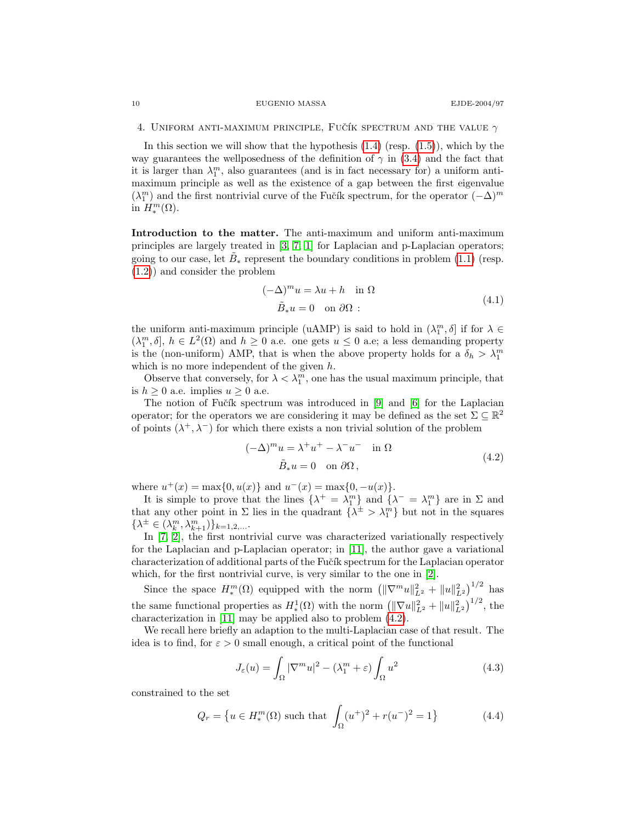<span id="page-9-0"></span>4. UNIFORM ANTI-MAXIMUM PRINCIPLE, FUCTIK SPECTRUM AND THE VALUE  $\gamma$ 

In this section we will show that the hypothesis  $(1.4)$  (resp.  $(1.5)$ ), which by the way guarantees the wellposedness of the definition of  $\gamma$  in [\(3.4\)](#page-3-2) and the fact that it is larger than  $\lambda_1^m$ , also guarantees (and is in fact necessary for) a uniform antimaximum principle as well as the existence of a gap between the first eigenvalue  $(\lambda_1^m)$  and the first nontrivial curve of the Fučík spectrum, for the operator  $(-\Delta)^m$ in  $H_*^m(\Omega)$ .

<span id="page-9-1"></span>Introduction to the matter. The anti-maximum and uniform anti-maximum principles are largely treated in [\[3,](#page-18-2) [7,](#page-18-3) [1\]](#page-18-4) for Laplacian and p-Laplacian operators; going to our case, let  $\tilde{B}_*$  represent the boundary conditions in problem [\(1.1\)](#page-0-1) (resp. [\(1.2\)](#page-0-3)) and consider the problem

<span id="page-9-3"></span>
$$
(-\Delta)^m u = \lambda u + h \quad \text{in } \Omega
$$
  

$$
\tilde{B}_* u = 0 \quad \text{on } \partial\Omega \tag{4.1}
$$

the uniform anti-maximum principle (uAMP) is said to hold in  $(\lambda_1^m, \delta]$  if for  $\lambda \in$  $(\lambda_1^m, \delta], h \in L^2(\Omega)$  and  $h \geq 0$  a.e. one gets  $u \leq 0$  a.e; a less demanding property is the (non-uniform) AMP, that is when the above property holds for a  $\delta_h > \lambda_1^m$ which is no more independent of the given h.

Observe that conversely, for  $\lambda < \lambda_1^m$ , one has the usual maximum principle, that is  $h \geq 0$  a.e. implies  $u \geq 0$  a.e.

The notion of Fučík spectrum was introduced in  $[9]$  and  $[6]$  for the Laplacian operator; for the operators we are considering it may be defined as the set  $\Sigma \subseteq \mathbb{R}^2$ of points  $(\lambda^+, \lambda^-)$  for which there exists a non trivial solution of the problem

<span id="page-9-2"></span>
$$
(-\Delta)^m u = \lambda^+ u^+ - \lambda^- u^- \quad \text{in } \Omega
$$
  

$$
\tilde{B}_* u = 0 \quad \text{on } \partial\Omega,
$$
 (4.2)

where  $u^+(x) = \max\{0, u(x)\}\$  and  $u^-(x) = \max\{0, -u(x)\}\$ .

It is simple to prove that the lines  $\{\lambda^+ = \lambda_1^m\}$  and  $\{\lambda^- = \lambda_1^m\}$  are in  $\Sigma$  and that any other point in  $\Sigma$  lies in the quadrant  $\{\lambda^{\pm} > \lambda_1^m\}$  but not in the squares  $\{\lambda^{\pm} \in (\lambda_k^m, \lambda_{k+1}^m)\}_{k=1,2,...}$ 

In [\[7,](#page-18-3) [2\]](#page-18-11), the first nontrivial curve was characterized variationally respectively for the Laplacian and p-Laplacian operator; in [\[11\]](#page-18-12), the author gave a variational characterization of additional parts of the Fučík spectrum for the Laplacian operator which, for the first nontrivial curve, is very similar to the one in [\[2\]](#page-18-11).

Since the space  $H_*^m(\Omega)$  equipped with the norm  $\left(\|\nabla^m u\|_{L^2}^2 + \|u\|_{L^2}^2\right)^{1/2}$  has the same functional properties as  $H^1_*(\Omega)$  with the norm  $\left( \|\nabla u\|_{L^2}^2 + \|u\|_{L^2}^2 \right)^{1/2}$ , the characterization in [\[11\]](#page-18-12) may be applied also to problem  $(4.2)$ .

We recall here briefly an adaption to the multi-Laplacian case of that result. The idea is to find, for  $\varepsilon > 0$  small enough, a critical point of the functional

<span id="page-9-4"></span>
$$
J_{\varepsilon}(u) = \int_{\Omega} |\nabla^m u|^2 - (\lambda_1^m + \varepsilon) \int_{\Omega} u^2 \tag{4.3}
$$

constrained to the set

$$
Q_r = \left\{ u \in H_*^m(\Omega) \text{ such that } \int_{\Omega} (u^+)^2 + r(u^-)^2 = 1 \right\}
$$
 (4.4)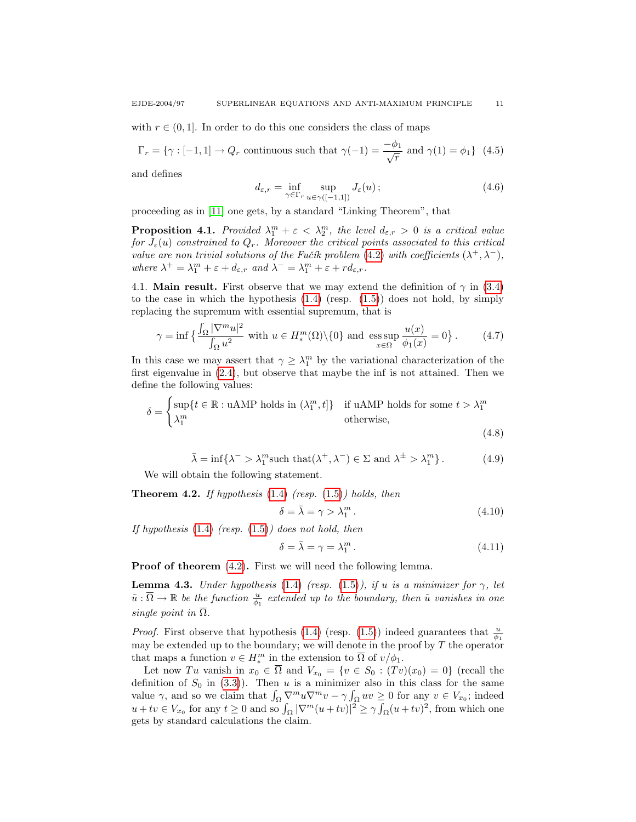with  $r \in (0, 1]$ . In order to do this one considers the class of maps

 $\Gamma_r = \{ \gamma : [-1, 1] \to Q_r \text{ continuous such that } \gamma(-1) = \frac{-\phi_1}{\sqrt{r}} \text{ and } \gamma(1) = \phi_1 \}$  (4.5)

<span id="page-10-3"></span>and defines

$$
d_{\varepsilon,r} = \inf_{\gamma \in \Gamma_r} \sup_{u \in \gamma([-1,1])} J_{\varepsilon}(u) ;
$$
\n(4.6)

proceeding as in [\[11\]](#page-18-12) one gets, by a standard "Linking Theorem", that

**Proposition 4.1.** Provided  $\lambda_1^m + \varepsilon < \lambda_2^m$ , the level  $d_{\varepsilon,r} > 0$  is a critical value for  $J_{\varepsilon}(u)$  constrained to  $Q_r$ . Moreover the critical points associated to this critical value are non trivial solutions of the Fučík problem [\(4.2\)](#page-9-2) with coefficients  $(\lambda^+, \lambda^-)$ , where  $\lambda^+ = \lambda_1^m + \varepsilon + d_{\varepsilon,r}$  and  $\lambda^- = \lambda_1^m + \varepsilon + rd_{\varepsilon,r}$ .

4.1. Main result. First observe that we may extend the definition of  $\gamma$  in [\(3.4\)](#page-3-2) to the case in which the hypothesis  $(1.4)$  (resp.  $(1.5)$ ) does not hold, by simply replacing the supremum with essential supremum, that is

$$
\gamma = \inf \left\{ \frac{\int_{\Omega} |\nabla^m u|^2}{\int_{\Omega} u^2} \text{ with } u \in H_*^m(\Omega) \setminus \{0\} \text{ and } \underset{x \in \Omega}{\text{ess sup}} \frac{u(x)}{\phi_1(x)} = 0 \right\}. \tag{4.7}
$$

In this case we may assert that  $\gamma \geq \lambda_1^m$  by the variational characterization of the first eigenvalue in [\(2.4\)](#page-3-3), but observe that maybe the inf is not attained. Then we define the following values:

$$
\delta = \begin{cases} \sup\{t \in \mathbb{R} : \text{uAMP holds in } (\lambda_1^m, t] \} & \text{if uAMP holds for some } t > \lambda_1^m \\ \lambda_1^m & \text{otherwise,} \end{cases}
$$
(4.8)

$$
\bar{\lambda} = \inf \{ \lambda^- > \lambda_1^m \text{ such that } (\lambda^+, \lambda^-) \in \Sigma \text{ and } \lambda^\pm > \lambda_1^m \}. \tag{4.9}
$$

We will obtain the following statement.

<span id="page-10-0"></span>**Theorem 4.2.** If hypothesis  $(1.4)$  (resp.  $(1.5)$ ) holds, then

<span id="page-10-1"></span>
$$
\delta = \bar{\lambda} = \gamma > \lambda_1^m. \tag{4.10}
$$

If hypothesis  $(1.4)$  (resp.  $(1.5)$ ) does not hold, then

<span id="page-10-4"></span>
$$
\delta = \bar{\lambda} = \gamma = \lambda_1^m. \tag{4.11}
$$

Proof of theorem  $(4.2)$ . First we will need the following lemma.

<span id="page-10-2"></span>**Lemma 4.3.** Under hypothesis [\(1.4\)](#page-0-0) (resp. [\(1.5\)](#page-0-2)), if u is a minimizer for  $\gamma$ , let  $\tilde{u}:\overline{\Omega}\to\mathbb{R}$  be the function  $\frac{u}{\phi_1}$  extended up to the boundary, then  $\tilde{u}$  vanishes in one single point in  $\overline{\Omega}$ .

*Proof.* First observe that hypothesis [\(1.4\)](#page-0-0) (resp. [\(1.5\)](#page-0-2)) indeed guarantees that  $\frac{u}{\phi_1}$ may be extended up to the boundary; we will denote in the proof by  $T$  the operator that maps a function  $v \in H_*^m$  in the extension to  $\overline{\Omega}$  of  $v/\phi_1$ .

Let now Tu vanish in  $x_0 \in \overline{\Omega}$  and  $V_{x_0} = \{v \in S_0 : (Tv)(x_0) = 0\}$  (recall the definition of  $S_0$  in [\(3.3\)](#page-3-4)). Then u is a minimizer also in this class for the same value  $\gamma$ , and so we claim that  $\int_{\Omega} \nabla^m u \nabla^m v - \gamma \int_{\Omega} uv \geq 0$  for any  $v \in V_{x_0}$ ; indeed  $u + tv \in V_{x_0}$  for any  $t \geq 0$  and so  $\int_{\Omega} |\nabla^m(u + tv)|^2 \geq \gamma \int_{\Omega} (u + tv)^2$ , from which one gets by standard calculations the claim.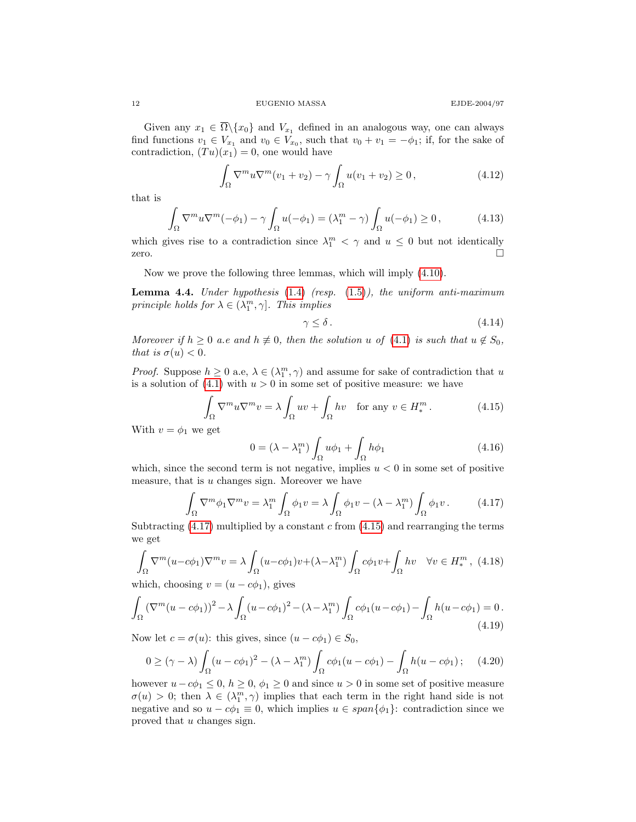Given any  $x_1 \in \overline{\Omega} \setminus \{x_0\}$  and  $V_{x_1}$  defined in an analogous way, one can always find functions  $v_1 \in V_{x_1}$  and  $v_0 \in V_{x_0}$ , such that  $v_0 + v_1 = -\phi_1$ ; if, for the sake of contradiction,  $(Tu)(x_1) = 0$ , one would have

$$
\int_{\Omega} \nabla^m u \nabla^m (v_1 + v_2) - \gamma \int_{\Omega} u(v_1 + v_2) \ge 0,
$$
\n(4.12)

that is

$$
\int_{\Omega} \nabla^m u \nabla^m (-\phi_1) - \gamma \int_{\Omega} u(-\phi_1) = (\lambda_1^m - \gamma) \int_{\Omega} u(-\phi_1) \ge 0, \tag{4.13}
$$

which gives rise to a contradiction since  $\lambda_1^m < \gamma$  and  $u \leq 0$  but not identically zero.

Now we prove the following three lemmas, which will imply [\(4.10\)](#page-10-1).

<span id="page-11-4"></span>**Lemma 4.4.** Under hypothesis  $(1.4)$  (resp.  $(1.5)$ ), the uniform anti-maximum principle holds for  $\lambda \in (\lambda_1^m, \gamma]$ . This implies

<span id="page-11-1"></span>
$$
\gamma \le \delta \,. \tag{4.14}
$$

Moreover if  $h \geq 0$  a.e and  $h \neq 0$ , then the solution u of [\(4.1\)](#page-9-3) is such that  $u \notin S_0$ , that is  $\sigma(u) < 0$ .

*Proof.* Suppose  $h \geq 0$  a.e,  $\lambda \in (\lambda_1^m, \gamma)$  and assume for sake of contradiction that u is a solution of  $(4.1)$  with  $u > 0$  in some set of positive measure: we have

$$
\int_{\Omega} \nabla^m u \nabla^m v = \lambda \int_{\Omega} uv + \int_{\Omega} hv \quad \text{for any } v \in H_*^m. \tag{4.15}
$$

With  $v = \phi_1$  we get

<span id="page-11-3"></span><span id="page-11-0"></span>
$$
0 = (\lambda - \lambda_1^m) \int_{\Omega} u \phi_1 + \int_{\Omega} h \phi_1 \tag{4.16}
$$

which, since the second term is not negative, implies  $u < 0$  in some set of positive measure, that is  $u$  changes sign. Moreover we have

$$
\int_{\Omega} \nabla^m \phi_1 \nabla^m v = \lambda_1^m \int_{\Omega} \phi_1 v = \lambda \int_{\Omega} \phi_1 v - (\lambda - \lambda_1^m) \int_{\Omega} \phi_1 v. \tag{4.17}
$$

Subtracting  $(4.17)$  multiplied by a constant c from  $(4.15)$  and rearranging the terms we get

$$
\int_{\Omega} \nabla^{m} (u - c\phi_{1}) \nabla^{m} v = \lambda \int_{\Omega} (u - c\phi_{1}) v + (\lambda - \lambda_{1}^{m}) \int_{\Omega} c\phi_{1} v + \int_{\Omega} hv \quad \forall v \in H_{*}^{m}, \tag{4.18}
$$

which, choosing  $v = (u - c\phi_1)$ , gives

$$
\int_{\Omega} \left(\nabla^m (u - c\phi_1)\right)^2 - \lambda \int_{\Omega} (u - c\phi_1)^2 - (\lambda - \lambda_1^m) \int_{\Omega} c\phi_1(u - c\phi_1) - \int_{\Omega} h(u - c\phi_1) = 0. \tag{4.19}
$$

Now let  $c = \sigma(u)$ : this gives, since  $(u - c\phi_1) \in S_0$ ,

<span id="page-11-2"></span>
$$
0 \geq (\gamma - \lambda) \int_{\Omega} (u - c\phi_1)^2 - (\lambda - \lambda_1^m) \int_{\Omega} c\phi_1(u - c\phi_1) - \int_{\Omega} h(u - c\phi_1); \quad (4.20)
$$

however  $u - c\phi_1 \leq 0$ ,  $h \geq 0$ ,  $\phi_1 \geq 0$  and since  $u > 0$  in some set of positive measure  $\sigma(u) > 0$ ; then  $\lambda \in (\lambda_1^m, \gamma)$  implies that each term in the right hand side is not negative and so  $u - c\phi_1 \equiv 0$ , which implies  $u \in span{\phi_1}$ : contradiction since we proved that u changes sign.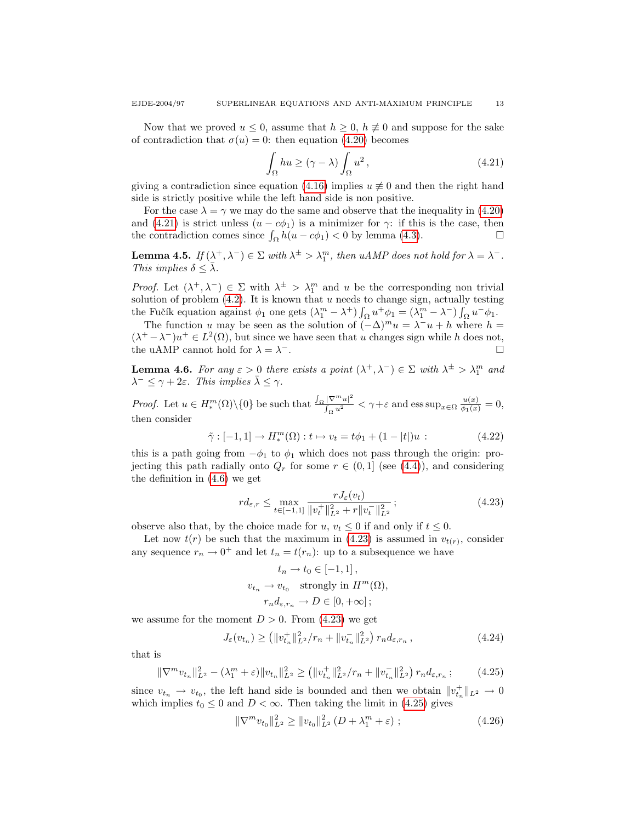Now that we proved  $u \leq 0$ , assume that  $h \geq 0$ ,  $h \not\equiv 0$  and suppose for the sake of contradiction that  $\sigma(u) = 0$ : then equation [\(4.20\)](#page-11-2) becomes

<span id="page-12-0"></span>
$$
\int_{\Omega} hu \ge (\gamma - \lambda) \int_{\Omega} u^2,
$$
\n(4.21)

giving a contradiction since equation [\(4.16\)](#page-11-3) implies  $u \neq 0$  and then the right hand side is strictly positive while the left hand side is non positive.

For the case  $\lambda = \gamma$  we may do the same and observe that the inequality in [\(4.20\)](#page-11-2) and [\(4.21\)](#page-12-0) is strict unless  $(u - c\phi_1)$  is a minimizer for  $\gamma$ : if this is the case, then the contradiction comes since  $\int_{\Omega} h(u - c\phi_1) < 0$  by lemma [\(4.3\)](#page-10-2).

<span id="page-12-4"></span>**Lemma 4.5.** If  $(\lambda^+, \lambda^-) \in \Sigma$  with  $\lambda^{\pm} > \lambda_1^m$ , then uAMP does not hold for  $\lambda = \lambda^-$ . This implies  $\delta < \overline{\lambda}$ .

*Proof.* Let  $(\lambda^+, \lambda^-) \in \Sigma$  with  $\lambda^{\pm} > \lambda_1^m$  and u be the corresponding non trivial solution of problem  $(4.2)$ . It is known that u needs to change sign, actually testing the Fučík equation against  $\phi_1$  one gets  $(\lambda_1^m - \lambda^+) \int_{\Omega} u^+ \phi_1 = (\lambda_1^m - \lambda^-) \int_{\Omega} u^- \phi_1$ .

The function u may be seen as the solution of  $(-\Delta)^m u = \lambda^- u + h$  where  $h =$  $(\lambda^+ - \lambda^-)u^+ \in L^2(\Omega)$ , but since we have seen that u changes sign while h does not, the uAMP cannot hold for  $\lambda = \lambda^-$ . <sup>−</sup>.

<span id="page-12-5"></span>**Lemma 4.6.** For any  $\varepsilon > 0$  there exists a point  $(\lambda^+, \lambda^-) \in \Sigma$  with  $\lambda^{\pm} > \lambda_1^m$  and  $\lambda^- \leq \gamma + 2\varepsilon$ . This implies  $\bar{\lambda} \leq \gamma$ .

*Proof.* Let  $u \in H_*^m(\Omega) \setminus \{0\}$  be such that  $\frac{\int_{\Omega} |\nabla^m u|^2}{\int_{\Omega} u^2}$  $\frac{|\nabla^m u|^2}{\int_{\Omega} u^2} < \gamma + \varepsilon$  and  $\text{ess sup}_{x \in \Omega} \frac{u(x)}{\phi_1(x)} = 0$ , then consider

<span id="page-12-3"></span>
$$
\tilde{\gamma} : [-1, 1] \to H_*^m(\Omega) : t \mapsto v_t = t\phi_1 + (1 - |t|)u : \tag{4.22}
$$

this is a path going from  $-\phi_1$  to  $\phi_1$  which does not pass through the origin: projecting this path radially onto  $Q_r$  for some  $r \in (0,1]$  (see [\(4.4\)](#page-9-4)), and considering the definition in [\(4.6\)](#page-10-3) we get

<span id="page-12-1"></span>
$$
r d_{\varepsilon,r} \le \max_{t \in [-1,1]} \frac{r J_{\varepsilon}(v_t)}{\|v_t^+\|_{L^2}^2 + r \|v_t^-\|_{L^2}^2};
$$
\n(4.23)

observe also that, by the choice made for  $u, v_t \leq 0$  if and only if  $t \leq 0$ .

Let now  $t(r)$  be such that the maximum in [\(4.23\)](#page-12-1) is assumed in  $v_{t(r)}$ , consider any sequence  $r_n \to 0^+$  and let  $t_n = t(r_n)$ : up to a subsequence we have

$$
t_n \to t_0 \in [-1, 1],
$$
  

$$
v_{t_n} \to v_{t_0} \quad \text{strongly in } H^m(\Omega),
$$
  

$$
r_n d_{\varepsilon, r_n} \to D \in [0, +\infty];
$$

we assume for the moment  $D > 0$ . From [\(4.23\)](#page-12-1) we get

$$
J_{\varepsilon}(v_{t_n}) \ge (||v_{t_n}^+||_{L^2}^2/r_n + ||v_{t_n}^-||_{L^2}^2) r_n d_{\varepsilon, r_n}, \qquad (4.24)
$$

that is

<span id="page-12-2"></span>
$$
\|\nabla^m v_{t_n}\|_{L^2}^2 - (\lambda_1^m + \varepsilon) \|v_{t_n}\|_{L^2}^2 \ge (\|v_{t_n}^+\|_{L^2}^2/r_n + \|v_{t_n}^-\|_{L^2}^2) \, r_n d_{\varepsilon, r_n};\tag{4.25}
$$

since  $v_{t_n} \to v_{t_0}$ , the left hand side is bounded and then we obtain  $||v_{t_n}^{+}||_{L^2} \to 0$ which implies  $t_0 \leq 0$  and  $D < \infty$ . Then taking the limit in [\(4.25\)](#page-12-2) gives

$$
\|\nabla^m v_{t_0}\|_{L^2}^2 \ge \|v_{t_0}\|_{L^2}^2 (D + \lambda_1^m + \varepsilon) ; \qquad (4.26)
$$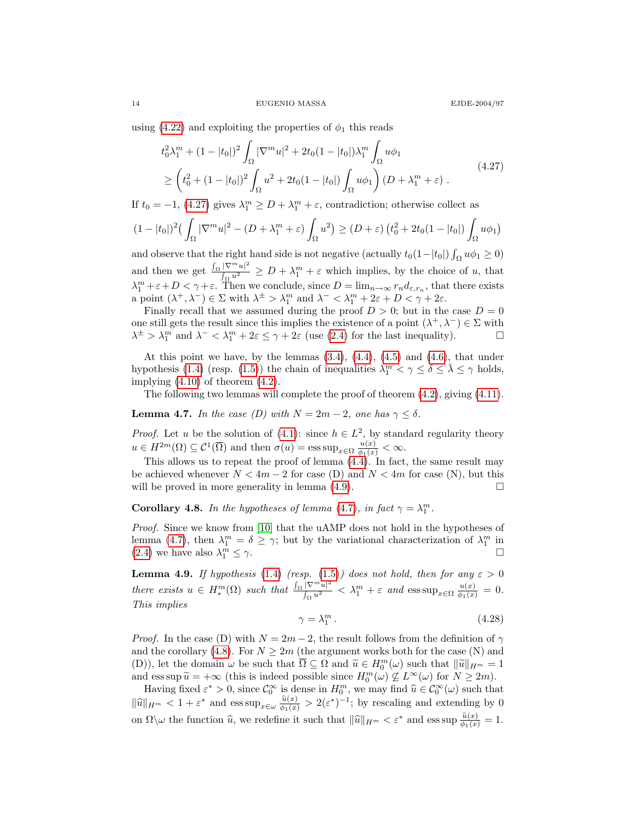using [\(4.22\)](#page-12-3) and exploiting the properties of  $\phi_1$  this reads

<span id="page-13-0"></span>
$$
t_0^2 \lambda_1^m + (1 - |t_0|)^2 \int_{\Omega} |\nabla^m u|^2 + 2t_0 (1 - |t_0|) \lambda_1^m \int_{\Omega} u \phi_1
$$
  
\n
$$
\geq \left( t_0^2 + (1 - |t_0|)^2 \int_{\Omega} u^2 + 2t_0 (1 - |t_0|) \int_{\Omega} u \phi_1 \right) (D + \lambda_1^m + \varepsilon) .
$$
\n(4.27)

If  $t_0 = -1$ , [\(4.27\)](#page-13-0) gives  $\lambda_1^m \geq D + \lambda_1^m + \varepsilon$ , contradiction; otherwise collect as

$$
(1-|t_0|)^2\left(\int_{\Omega}|\nabla^m u|^2 - (D+\lambda_1^m+\varepsilon)\int_{\Omega}u^2\right) \ge (D+\varepsilon)\left(t_0^2 + 2t_0(1-|t_0|)\int_{\Omega}u\phi_1\right)
$$

and observe that the right hand side is not negative (actually  $t_0(1-|t_0|)\int_{\Omega}u\phi_1\geq 0$ ) and then we get  $\frac{\int_{\Omega} |\nabla^m u|^2}{\int_{\Omega} u^2}$  $\frac{|\nabla^m u|^2}{\int_{\Omega} u^2} \ge D + \lambda_1^m + \varepsilon$  which implies, by the choice of u, that  $\lambda_1^m + \varepsilon + D < \gamma + \varepsilon$ . Then we conclude, since  $D = \lim_{n \to \infty} r_n d_{\varepsilon,r_n}$ , that there exists a point  $(\lambda^+, \lambda^-) \in \Sigma$  with  $\lambda^{\pm} > \lambda_1^m$  and  $\lambda^- < \lambda_1^m + 2\varepsilon + D < \gamma + 2\varepsilon$ .

Finally recall that we assumed during the proof  $D > 0$ ; but in the case  $D = 0$ one still gets the result since this implies the existence of a point  $(\lambda^+, \lambda^-) \in \Sigma$  with  $\lambda^{\pm} > \lambda_1^m$  and  $\lambda^- < \lambda_1^m + 2\varepsilon \leq \gamma + 2\varepsilon$  (use [\(2.4\)](#page-3-3) for the last inequality).

At this point we have, by the lemmas  $(3.4)$ ,  $(4.4)$ ,  $(4.5)$  and  $(4.6)$ , that under hypothesis [\(1.4\)](#page-0-0) (resp. [\(1.5\)](#page-0-2)) the chain of inequalities  $\lambda_1^m < \gamma \le \delta \le \bar{\lambda} \le \gamma$  holds, implying  $(4.10)$  of theorem  $(4.2)$ .

The following two lemmas will complete the proof of theorem [\(4.2\)](#page-10-0), giving [\(4.11\)](#page-10-4).

<span id="page-13-2"></span>**Lemma 4.7.** In the case (D) with  $N = 2m - 2$ , one has  $\gamma < \delta$ .

*Proof.* Let u be the solution of [\(4.1\)](#page-9-3): since  $h \in L^2$ , by standard regularity theory  $u \in H^{2m}(\Omega) \subseteq C^1(\overline{\Omega})$  and then  $\sigma(u) = \operatorname{ess} \sup_{x \in \Omega} \frac{u(x)}{\phi_1(x)} < \infty$ .

This allows us to repeat the proof of lemma [\(4.4\)](#page-11-4). In fact, the same result may be achieved whenever  $N < 4m - 2$  for case (D) and  $N < 4m$  for case (N), but this will be proved in more generality in lemma  $(4.9)$ .

<span id="page-13-3"></span>**Corollary 4.8.** In the hypotheses of lemma [\(4.7\)](#page-13-2), in fact  $\gamma = \lambda_1^m$ .

Proof. Since we know from [\[10\]](#page-18-7) that the uAMP does not hold in the hypotheses of lemma [\(4.7\)](#page-13-2), then  $\lambda_1^m = \delta \geq \gamma$ ; but by the variational characterization of  $\lambda_1^m$  in  $(2.4)$  we have also  $\lambda_1^m$  $\frac{m}{1} \leq \gamma.$ 

<span id="page-13-1"></span>**Lemma 4.9.** If hypothesis [\(1.4\)](#page-0-0) (resp. [\(1.5\)](#page-0-2)) does not hold, then for any  $\varepsilon > 0$ there exists  $u \in H_*^m(\Omega)$  such that  $\frac{\int_{\Omega} |\nabla^m u|^2}{\int_{\Omega} u^2}$  $\frac{|\nabla^m u|^2}{\int_{\Omega} u^2} < \lambda_1^m + \varepsilon \text{ and } \text{ess sup}_{x \in \Omega} \frac{u(x)}{\phi_1(x)} = 0.$ This implies

$$
\gamma = \lambda_1^m. \tag{4.28}
$$

*Proof.* In the case (D) with  $N = 2m - 2$ , the result follows from the definition of  $\gamma$ and the corollary [\(4.8\)](#page-13-3). For  $N \geq 2m$  (the argument works both for the case (N) and (D)), let the domain  $\omega$  be such that  $\overline{\Omega} \subseteq \Omega$  and  $\widetilde{u} \in H_0^m(\omega)$  such that  $\|\widetilde{u}\|_{H^m} = 1$ <br>and  $\cos \sup \widetilde{u} = +\infty$  (this is indeed possible since  $H^{m}(\omega) \not\subset L^{\infty}(\omega)$  for  $N > 2m$ ) and ess sup  $\widetilde{u} = +\infty$  (this is indeed possible since  $H_0^m(\omega) \nsubseteq L^\infty(\omega)$  for  $N \geq 2m$ ).<br>Having fixed  $\epsilon^* > 0$  since  $\ell^\infty$  is dense in  $H_0^m$  we may find  $\widehat{u} \in \ell^\infty(\omega)$  such the

Having fixed  $\varepsilon^* > 0$ , since  $\mathcal{C}_0^{\infty}$  is dense in  $H_0^m$ , we may find  $\widehat{u} \in \mathcal{C}_0^{\infty}(\omega)$  such that  $\|\widehat{u}\|_{H^m} < 1 + \varepsilon^*$  and  $\operatorname{ess} \sup_{x \in \omega} \frac{\widehat{u}(x)}{\phi_1(x)} > 2(\varepsilon^*)^{-1}$ ; by rescaling and extending by 0 on  $\Omega \backslash \omega$  the function  $\hat{u}$ , we redefine it such that  $\|\hat{u}\|_{H^m} < \varepsilon^*$  and ess sup  $\frac{\hat{u}(x)}{\phi_1(x)} = 1$ .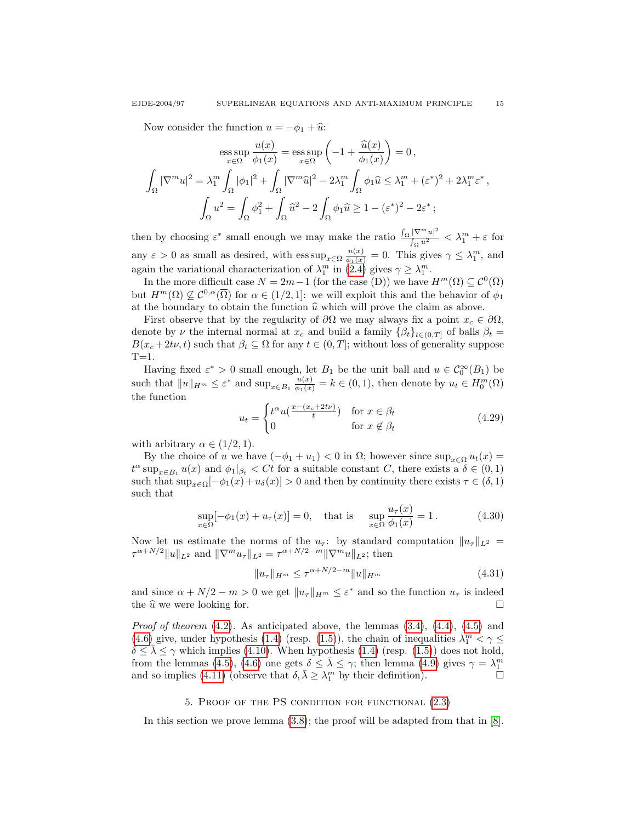Now consider the function  $u = -\phi_1 + \hat{u}$ :

$$
\operatorname{ess}\sup_{x\in\Omega}\frac{u(x)}{\phi_1(x)} = \operatorname{ess}\sup_{x\in\Omega}\left(-1 + \frac{\widehat{u}(x)}{\phi_1(x)}\right) = 0,
$$
  

$$
\int_{\Omega}|\nabla^m u|^2 = \lambda_1^m \int_{\Omega}|\phi_1|^2 + \int_{\Omega}|\nabla^m \widehat{u}|^2 - 2\lambda_1^m \int_{\Omega}\phi_1 \widehat{u} \le \lambda_1^m + (\varepsilon^*)^2 + 2\lambda_1^m \varepsilon^*,
$$
  

$$
\int_{\Omega}u^2 = \int_{\Omega}\phi_1^2 + \int_{\Omega}\widehat{u}^2 - 2\int_{\Omega}\phi_1 \widehat{u} \ge 1 - (\varepsilon^*)^2 - 2\varepsilon^*;
$$

then by choosing  $\varepsilon^*$  small enough we may make the ratio  $\frac{\int_{\Omega} |\nabla^m u|^2}{\int_{\Omega} u^2}$  $\frac{|V'''u|}{\int_{\Omega} u^2} < \lambda_1^m + \varepsilon$  for any  $\varepsilon > 0$  as small as desired, with  $\text{ess sup}_{x \in \Omega} \frac{u(x)}{\phi_1(x)} = 0$ . This gives  $\gamma \leq \lambda_1^m$ , and again the variational characterization of  $\lambda_1^m$  in [\(2.4\)](#page-3-3) gives  $\gamma \geq \lambda_1^m$ .

In the more difficult case  $N = 2m - 1$  (for the case (D)) we have  $H^m(\Omega) \subseteq C^0(\overline{\Omega})$ but  $H^m(\Omega) \nsubseteq \mathcal{C}^{0,\alpha}(\overline{\Omega})$  for  $\alpha \in (1/2,1]$ : we will exploit this and the behavior of  $\phi_1$ at the boundary to obtain the function  $\hat{u}$  which will prove the claim as above.

First observe that by the regularity of  $\partial\Omega$  we may always fix a point  $x_c \in \partial\Omega$ , denote by  $\nu$  the internal normal at  $x_c$  and build a family  $\{\beta_t\}_{t\in(0,T]}$  of balls  $\beta_t =$  $B(x_c+2t\nu, t)$  such that  $\beta_t \subseteq \Omega$  for any  $t \in (0, T]$ ; without loss of generality suppose  $T=1$ .

Having fixed  $\varepsilon^* > 0$  small enough, let  $B_1$  be the unit ball and  $u \in C_0^{\infty}(B_1)$  be such that  $||u||_{H^m} \leq \varepsilon^*$  and  $\sup_{x \in B_1} \frac{u(x)}{\phi_1(x)} = k \in (0, 1)$ , then denote by  $u_t \in H_0^m(\Omega)$ the function

$$
u_t = \begin{cases} t^{\alpha} u(\frac{x - (x_c + 2t\nu)}{t}) & \text{for } x \in \beta_t \\ 0 & \text{for } x \notin \beta_t \end{cases}
$$
(4.29)

with arbitrary  $\alpha \in (1/2, 1)$ .

By the choice of u we have  $(-\phi_1 + u_1) < 0$  in  $\Omega$ ; however since  $\sup_{x \in \Omega} u_t(x) =$  $t^{\alpha}$  sup<sub> $x \in B_1$ </sub>  $u(x)$  and  $\phi_1|_{\beta_t} < Ct$  for a suitable constant C, there exists a  $\delta \in (0,1)$ such that  $\sup_{x \in \Omega} [-\phi_1(x) + u_\delta(x)] > 0$  and then by continuity there exists  $\tau \in (\delta, 1)$ such that

$$
\sup_{x \in \Omega} [-\phi_1(x) + u_\tau(x)] = 0, \text{ that is } \sup_{x \in \Omega} \frac{u_\tau(x)}{\phi_1(x)} = 1. \quad (4.30)
$$

Now let us estimate the norms of the  $u_{\tau}$ : by standard computation  $||u_{\tau}||_{L^2} =$  $\tau^{\alpha+N/2} \|u\|_{L^2}$  and  $\|\nabla^m u_\tau\|_{L^2} = \tau^{\alpha+N/2-m} \|\nabla^m u\|_{L^2}$ ; then

$$
||u_{\tau}||_{H^m} \le \tau^{\alpha + N/2 - m} ||u||_{H^m}
$$
\n(4.31)

and since  $\alpha + N/2 - m > 0$  we get  $||u_\tau||_{H^m} \leq \varepsilon^*$  and so the function  $u_\tau$  is indeed the  $\widehat{u}$  we were looking for.

*Proof of theorem*  $(4.2)$ . As anticipated above, the lemmas  $(3.4)$ ,  $(4.4)$ ,  $(4.5)$  and [\(4.6\)](#page-12-5) give, under hypothesis [\(1.4\)](#page-0-0) (resp. [\(1.5\)](#page-0-2)), the chain of inequalities  $\lambda_1^m < \gamma \leq$  $\delta \leq \bar{\lambda} \leq \gamma$  which implies [\(4.10\)](#page-10-1). When hypothesis [\(1.4\)](#page-0-0) (resp. [\(1.5\)](#page-0-2)) does not hold, from the lemmas [\(4.5\)](#page-12-4), [\(4.6\)](#page-12-5) one gets  $\delta \leq \bar{\lambda} \leq \gamma$ ; then lemma [\(4.9\)](#page-13-1) gives  $\gamma = \lambda_1^m$ and so implies [\(4.11\)](#page-10-4) (observe that  $\delta$ ,  $\bar{\lambda} \geq \lambda_1^m$  by their definition).

## 5. Proof of the PS condition for functional [\(2.3\)](#page-3-1)

<span id="page-14-0"></span>In this section we prove lemma [\(3.8\)](#page-6-0); the proof will be adapted from that in [\[8\]](#page-18-0).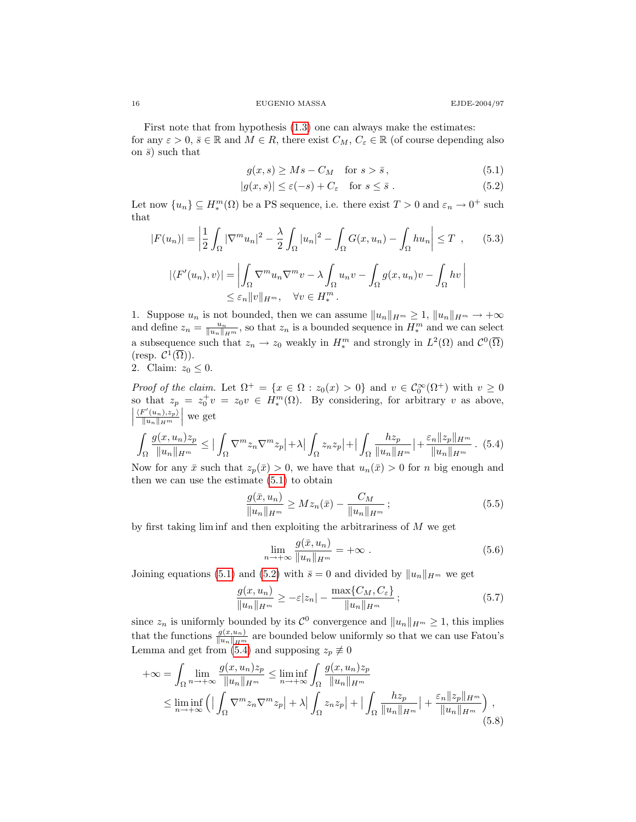First note that from hypothesis [\(1.3\)](#page-0-4) one can always make the estimates: for any  $\varepsilon > 0$ ,  $\overline{s} \in \mathbb{R}$  and  $M \in R$ , there exist  $C_M$ ,  $C_{\varepsilon} \in \mathbb{R}$  (of course depending also on  $\bar{s}$ ) such that

<span id="page-15-1"></span><span id="page-15-0"></span>
$$
g(x,s) \ge Ms - C_M \quad \text{for } s > \bar{s},\tag{5.1}
$$

$$
|g(x,s)| \le \varepsilon(-s) + C_{\varepsilon} \quad \text{for } s \le \bar{s} . \tag{5.2}
$$

Let now  $\{u_n\} \subseteq H_*^m(\Omega)$  be a PS sequence, i.e. there exist  $T > 0$  and  $\varepsilon_n \to 0^+$  such that

$$
|F(u_n)| = \left| \frac{1}{2} \int_{\Omega} |\nabla^m u_n|^2 - \frac{\lambda}{2} \int_{\Omega} |u_n|^2 - \int_{\Omega} G(x, u_n) - \int_{\Omega} hu_n \right| \le T \quad , \qquad (5.3)
$$

$$
|\langle F'(u_n), v \rangle| = \left| \int_{\Omega} \nabla^m u_n \nabla^m v - \lambda \int_{\Omega} u_n v - \int_{\Omega} g(x, u_n) v - \int_{\Omega} hv \right|
$$

$$
\le \varepsilon_n ||v||_{H^m}, \quad \forall v \in H_*^m.
$$

1. Suppose  $u_n$  is not bounded, then we can assume  $||u_n||_{H^m} \geq 1$ ,  $||u_n||_{H^m} \to +\infty$ and define  $z_n = \frac{u_n}{\|u_n\|_{H^m}}$ , so that  $z_n$  is a bounded sequence in  $H^m_*$  and we can select a subsequence such that  $z_n \to z_0$  weakly in  $H_*^m$  and strongly in  $L^2(\Omega)$  and  $\mathcal{C}^0(\overline{\Omega})$  $(\text{resp. } \mathcal{C}^1(\overline{\Omega})).$ 

2. Claim: 
$$
z_0 \leq 0
$$
.

Proof of the claim. Let  $\Omega^+ = \{x \in \Omega : z_0(x) > 0\}$  and  $v \in C_0^{\infty}(\Omega^+)$  with  $v \ge 0$ so that  $z_p = z_0^+ v = z_0 v \in H_*^m(\Omega)$ . By considering, for arbitrary v as above,  $\begin{array}{c} \n\end{array}$  $\langle F'(u_n), z_p \rangle$  $\frac{\mathbf{F}'(u_n), z_p}{\|u_n\|_{H^m}}$  we get

<span id="page-15-2"></span>
$$
\int_{\Omega} \frac{g(x, u_n)z_p}{\|u_n\|_{H^m}} \leq \left| \int_{\Omega} \nabla^m z_n \nabla^m z_p \right| + \lambda \left| \int_{\Omega} z_n z_p \right| + \left| \int_{\Omega} \frac{hz_p}{\|u_n\|_{H^m}} \right| + \frac{\varepsilon_n \|z_p\|_{H^m}}{\|u_n\|_{H^m}}. (5.4)
$$

Now for any  $\bar{x}$  such that  $z_p(\bar{x}) > 0$ , we have that  $u_n(\bar{x}) > 0$  for n big enough and then we can use the estimate  $(5.1)$  to obtain

$$
\frac{g(\bar{x}, u_n)}{\|u_n\|_{H^m}} \ge Mz_n(\bar{x}) - \frac{C_M}{\|u_n\|_{H^m}}; \tag{5.5}
$$

by first taking  $\liminf$  and then exploiting the arbitrariness of  $M$  we get

$$
\lim_{n \to +\infty} \frac{g(\bar{x}, u_n)}{\|u_n\|_{H^m}} = +\infty \tag{5.6}
$$

Joining equations [\(5.1\)](#page-15-0) and [\(5.2\)](#page-15-1) with  $\bar{s} = 0$  and divided by  $||u_n||_{H^m}$  we get

<span id="page-15-3"></span>
$$
\frac{g(x, u_n)}{\|u_n\|_{H^m}} \ge -\varepsilon |z_n| - \frac{\max\{C_M, C_\varepsilon\}}{\|u_n\|_{H^m}}; \tag{5.7}
$$

since  $z_n$  is uniformly bounded by its  $\mathcal{C}^0$  convergence and  $||u_n||_{H^m} \geq 1$ , this implies that the functions  $\frac{g(x,u_n)}{\|u_n\|_{H^m}}$  are bounded below uniformly so that we can use Fatou's Lemma and get from [\(5.4\)](#page-15-2) and supposing  $z_p \neq 0$ 

$$
+\infty = \int_{\Omega} \lim_{n \to +\infty} \frac{g(x, u_n)z_p}{\|u_n\|_{H^m}} \le \liminf_{n \to +\infty} \int_{\Omega} \frac{g(x, u_n)z_p}{\|u_n\|_{H^m}}
$$
  

$$
\le \liminf_{n \to +\infty} \left( \left| \int_{\Omega} \nabla^m z_n \nabla^m z_p \right| + \lambda \left| \int_{\Omega} z_n z_p \right| + \left| \int_{\Omega} \frac{hz_p}{\|u_n\|_{H^m}} \right| + \frac{\varepsilon_n \|z_p\|_{H^m}}{\|u_n\|_{H^m}} \right), \tag{5.8}
$$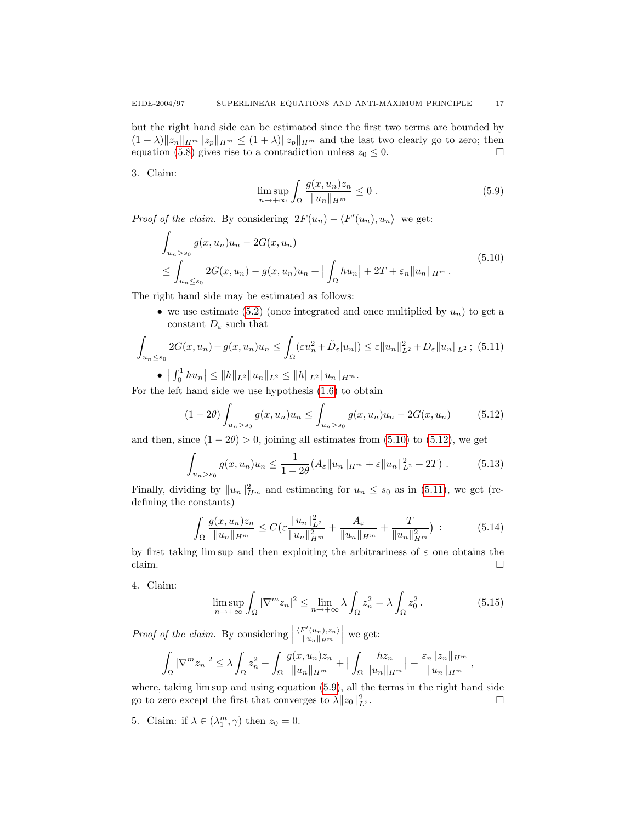but the right hand side can be estimated since the first two terms are bounded by  $(1 + \lambda) \|z_n\|_{H^m} \|z_p\|_{H^m} \le (1 + \lambda) \|z_p\|_{H^m}$  and the last two clearly go to zero; then equation [\(5.8\)](#page-15-3) gives rise to a contradiction unless  $z_0 \leq 0$ .

<span id="page-16-3"></span>3. Claim:

<span id="page-16-0"></span>
$$
\limsup_{n \to +\infty} \int_{\Omega} \frac{g(x, u_n) z_n}{\|u_n\|_{H^m}} \le 0.
$$
\n(5.9)

*Proof of the claim.* By considering  $|2F(u_n) - \langle F'(u_n), u_n \rangle|$  we get:

$$
\int_{u_n > s_0} g(x, u_n) u_n - 2G(x, u_n)
$$
\n
$$
\leq \int_{u_n \leq s_0} 2G(x, u_n) - g(x, u_n) u_n + \left| \int_{\Omega} h u_n \right| + 2T + \varepsilon_n \|u_n\|_{H^m}.
$$
\n(5.10)

The right hand side may be estimated as follows:

<span id="page-16-2"></span>• we use estimate [\(5.2\)](#page-15-1) (once integrated and once multiplied by  $u_n$ ) to get a constant  $D_\varepsilon$  such that

$$
\int_{u_n \le s_0} 2G(x, u_n) - g(x, u_n)u_n \le \int_{\Omega} (\varepsilon u_n^2 + \tilde{D}_{\varepsilon} |u_n|) \le \varepsilon ||u_n||_{L^2}^2 + D_{\varepsilon} ||u_n||_{L^2};
$$
 (5.11)

•  $\left| \int_0^1 hu_n \right| \leq \|h\|_{L^2} \|u_n\|_{L^2} \leq \|h\|_{L^2} \|u_n\|_{H^m}.$ 

For the left hand side we use hypothesis [\(1.6\)](#page-1-0) to obtain

<span id="page-16-1"></span>
$$
(1 - 2\theta) \int_{u_n > s_0} g(x, u_n) u_n \le \int_{u_n > s_0} g(x, u_n) u_n - 2G(x, u_n)
$$
 (5.12)

and then, since  $(1 - 2\theta) > 0$ , joining all estimates from  $(5.10)$  to  $(5.12)$ , we get

$$
\int_{u_n>s_0} g(x,u_n)u_n \leq \frac{1}{1-2\theta}(A_{\varepsilon}||u_n||_{H^m} + \varepsilon||u_n||_{L^2}^2 + 2T). \tag{5.13}
$$

Finally, dividing by  $||u_n||_{H^m}^2$  and estimating for  $u_n \leq s_0$  as in [\(5.11\)](#page-16-2), we get (redefining the constants)

$$
\int_{\Omega} \frac{g(x, u_n)z_n}{\|u_n\|_{H^m}} \le C \left(\varepsilon \frac{\|u_n\|_{L^2}^2}{\|u_n\|_{H^m}^2} + \frac{A_{\varepsilon}}{\|u_n\|_{H^m}} + \frac{T}{\|u_n\|_{H^m}^2}\right) \tag{5.14}
$$

by first taking lim sup and then exploiting the arbitrariness of  $\varepsilon$  one obtains the claim.  $\Box$ 

4. Claim:

<span id="page-16-4"></span>
$$
\limsup_{n \to +\infty} \int_{\Omega} |\nabla^m z_n|^2 \le \lim_{n \to +\infty} \lambda \int_{\Omega} z_n^2 = \lambda \int_{\Omega} z_0^2. \tag{5.15}
$$

*Proof of the claim.* By considering  $\Big|$  $\langle F'(u_n), z_n \rangle$  $\frac{\mathbb{F}'(u_n), z_n}{\|u_n\|_{H^m}}$  we get:

$$
\int_{\Omega} |\nabla^m z_n|^2 \leq \lambda \int_{\Omega} z_n^2 + \int_{\Omega} \frac{g(x, u_n)z_n}{\|u_n\|_{H^m}} + \Big| \int_{\Omega} \frac{hz_n}{\|u_n\|_{H^m}} \Big| + \frac{\varepsilon_n \|z_n\|_{H^m}}{\|u_n\|_{H^m}},
$$

where, taking lim sup and using equation [\(5.9\)](#page-16-3), all the terms in the right hand side go to zero except the first that converges to  $\lambda ||z_0||_I^2$  $L^2$  .

5. Claim: if  $\lambda \in (\lambda_1^m, \gamma)$  then  $z_0 = 0$ .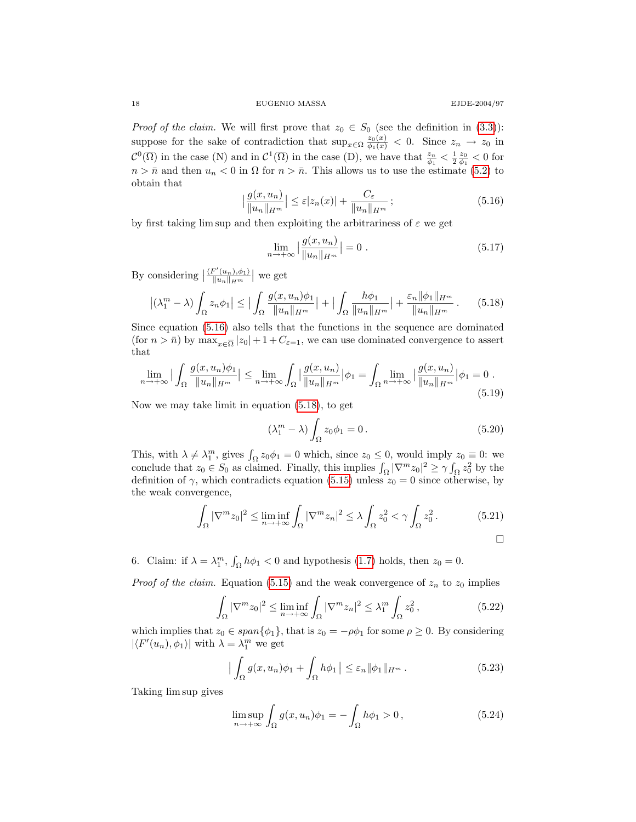18 EUGENIO MASSA EJDE-2004/97

*Proof of the claim.* We will first prove that  $z_0 \in S_0$  (see the definition in [\(3.3\)](#page-3-4)): suppose for the sake of contradiction that  $\sup_{x \in \Omega} \frac{z_0(x)}{\phi_1(x)} < 0$ . Since  $z_n \to z_0$  in  $\mathcal{C}^0(\overline{\Omega})$  in the case (N) and in  $\mathcal{C}^1(\overline{\Omega})$  in the case (D), we have that  $\frac{z_n}{\phi_1} < \frac{1}{2} \frac{z_0}{\phi_1} < 0$  for  $n > \bar{n}$  and then  $u_n < 0$  in  $\Omega$  for  $n > \bar{n}$ . This allows us to use the estimate [\(5.2\)](#page-15-1) to obtain that

<span id="page-17-0"></span>
$$
\left| \frac{g(x, u_n)}{\|u_n\|_{H^m}} \right| \le \varepsilon |z_n(x)| + \frac{C_{\varepsilon}}{\|u_n\|_{H^m}} ;
$$
\n(5.16)

by first taking lim sup and then exploiting the arbitrariness of  $\varepsilon$  we get

<span id="page-17-1"></span>
$$
\lim_{n \to +\infty} \left| \frac{g(x, u_n)}{\|u_n\|_{H^m}} \right| = 0 \tag{5.17}
$$

By considering  $\left|\frac{\langle F'(u_n), \phi_1 \rangle}{\|u_n\|_{H^m}}\right|$  $\frac{\langle \psi''(u_n),\phi_1 \rangle}{\|u_n\|_{H^m}}$  we get

$$
\left| (\lambda_1^m - \lambda) \int_{\Omega} z_n \phi_1 \right| \le \left| \int_{\Omega} \frac{g(x, u_n) \phi_1}{\|u_n\|_{H^m}} \right| + \left| \int_{\Omega} \frac{h \phi_1}{\|u_n\|_{H^m}} \right| + \frac{\varepsilon_n \|\phi_1\|_{H^m}}{\|u_n\|_{H^m}}.
$$
 (5.18)

Since equation [\(5.16\)](#page-17-0) also tells that the functions in the sequence are dominated (for  $n > \bar{n}$ ) by  $\max_{x \in \overline{\Omega}} |z_0| + 1 + C_{\varepsilon=1}$ , we can use dominated convergence to assert that

$$
\lim_{n \to +\infty} \left| \int_{\Omega} \frac{g(x, u_n)\phi_1}{\|u_n\|_{H^m}} \right| \le \lim_{n \to +\infty} \int_{\Omega} \left| \frac{g(x, u_n)}{\|u_n\|_{H^m}} \right| \phi_1 = \int_{\Omega} \lim_{n \to +\infty} \left| \frac{g(x, u_n)}{\|u_n\|_{H^m}} \right| \phi_1 = 0. \tag{5.19}
$$

Now we may take limit in equation [\(5.18\)](#page-17-1), to get

$$
(\lambda_1^m - \lambda) \int_{\Omega} z_0 \phi_1 = 0.
$$
 (5.20)

This, with  $\lambda \neq \lambda_1^m$ , gives  $\int_{\Omega} z_0 \phi_1 = 0$  which, since  $z_0 \leq 0$ , would imply  $z_0 \equiv 0$ : we conclude that  $z_0 \in S_0$  as claimed. Finally, this implies  $\int_{\Omega} |\nabla^m z_0|^2 \ge \gamma \int_{\Omega} z_0^2$  by the definition of  $\gamma$ , which contradicts equation [\(5.15\)](#page-16-4) unless  $z_0 = 0$  since otherwise, by the weak convergence,

$$
\int_{\Omega} |\nabla^m z_0|^2 \le \liminf_{n \to +\infty} \int_{\Omega} |\nabla^m z_n|^2 \le \lambda \int_{\Omega} z_0^2 < \gamma \int_{\Omega} z_0^2.
$$
 (5.21)

6. Claim: if  $\lambda = \lambda_1^m$ ,  $\int_{\Omega} h \phi_1 < 0$  and hypothesis [\(1.7\)](#page-1-1) holds, then  $z_0 = 0$ .

*Proof of the claim.* Equation [\(5.15\)](#page-16-4) and the weak convergence of  $z_n$  to  $z_0$  implies

$$
\int_{\Omega} |\nabla^m z_0|^2 \le \liminf_{n \to +\infty} \int_{\Omega} |\nabla^m z_n|^2 \le \lambda_1^m \int_{\Omega} z_0^2,
$$
\n(5.22)

which implies that  $z_0 \in span{\phi_1}$ , that is  $z_0 = -\rho \phi_1$  for some  $\rho \geq 0$ . By considering  $|\langle F'(u_n), \phi_1 \rangle|$  with  $\lambda = \lambda_1^m$  we get

$$
\left| \int_{\Omega} g(x, u_n) \phi_1 + \int_{\Omega} h \phi_1 \right| \leq \varepsilon_n \| \phi_1 \|_{H^m} . \tag{5.23}
$$

Taking lim sup gives

<span id="page-17-2"></span>
$$
\limsup_{n \to +\infty} \int_{\Omega} g(x, u_n)\phi_1 = -\int_{\Omega} h\phi_1 > 0, \qquad (5.24)
$$